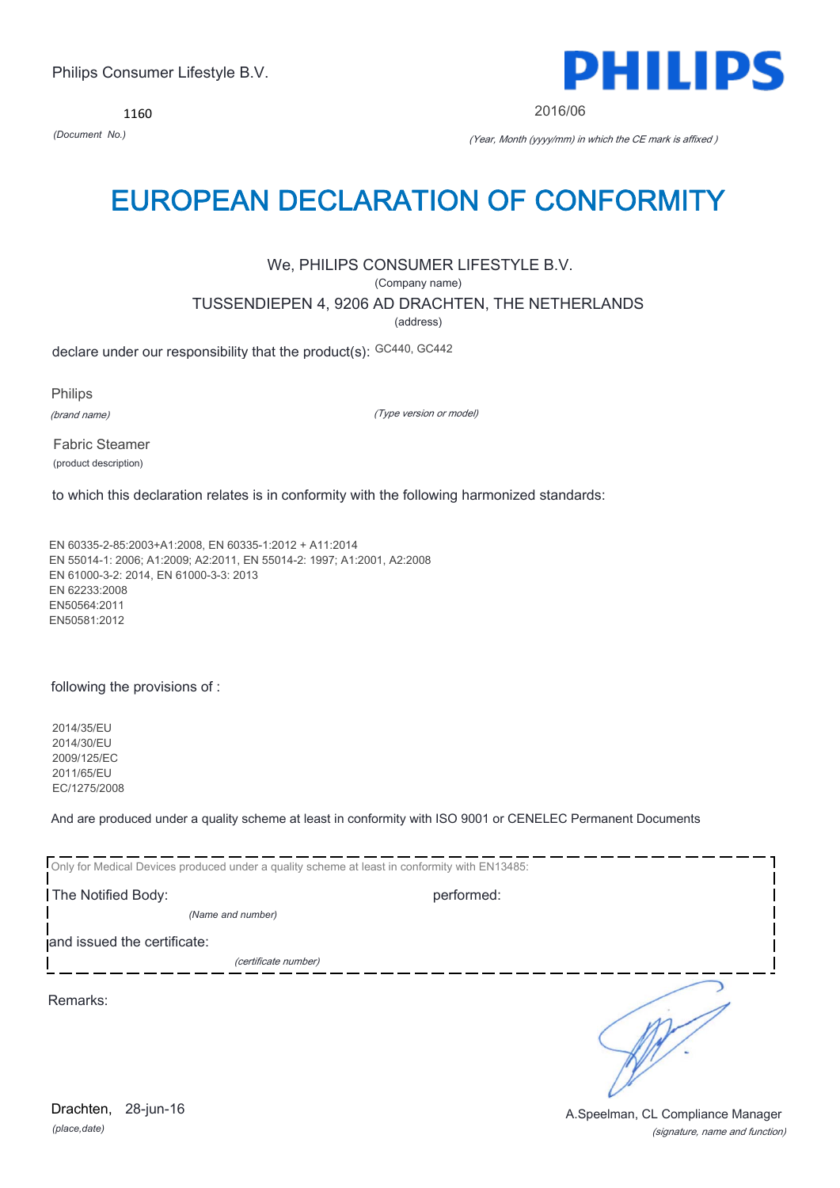*(place,date)* 28-jun-16

(signature, name and function) Drachten, 28-jun-16 **Drachten**, 28-jun-16

## Philips Consumer Lifestyle B.V.

1160

# EUROPEAN DECLARATION OF CONFORMITY

## We, PHILIPS CONSUMER LIFESTYLE B.V.

(Company name)

## TUSSENDIEPEN 4, 9206 AD DRACHTEN, THE NETHERLANDS

(address)

declare under our responsibility that the product(s): GC440, GC442

Philips

(brand name)

(Type version or model)

Fabric Steamer (product description)

to which this declaration relates is in conformity with the following harmonized standards:

EN 60335-2-85:2003+A1:2008, EN 60335-1:2012 + A11:2014 EN 55014-1: 2006; A1:2009; A2:2011, EN 55014-2: 1997; A1:2001, A2:2008 EN 61000-3-2: 2014, EN 61000-3-3: 2013 EN 62233:2008 EN50564:2011 EN50581:2012

following the provisions of :

2014/35/EU 2014/30/EU 2009/125/EC 2011/65/EU EC/1275/2008

And are produced under a quality scheme at least in conformity with ISO 9001 or CENELEC Permanent Documents

Only for Medical Devices produced under a quality scheme at least in conformity with EN13485: The Notified Body: example and performed: performed: *(Name and number)*  and issued the certificate: (certificate number) Ď Remarks:



2016/06

*(Document No.)* (Year, Month (yyyy/mm) in which the CE mark is affixed )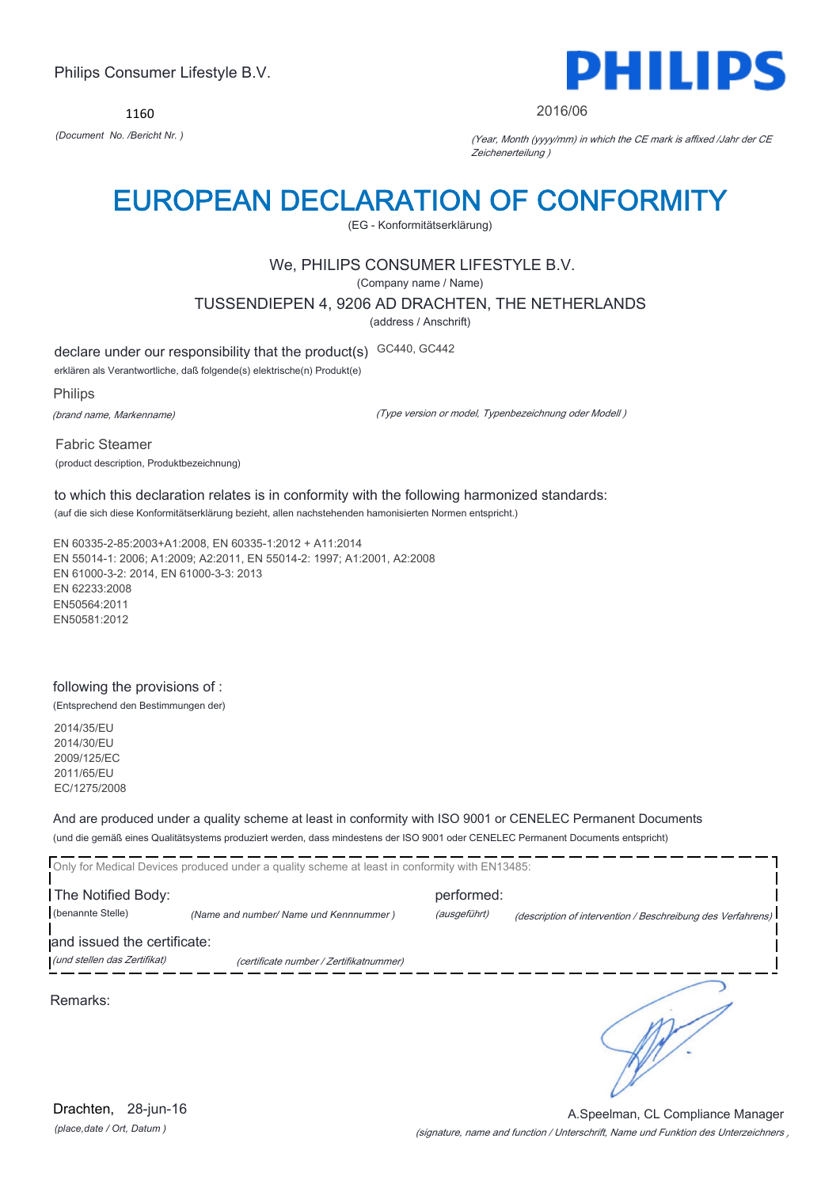1160



#### 2016/06

*(Document No. /Bericht Nr. )* (Year, Month (yyyy/mm) in which the CE mark is affixed /Jahr der CE Zeichenerteilung )

## EUROPEAN DECLARATION OF CONFORMITY

(EG - Konformitätserklärung)

## We, PHILIPS CONSUMER LIFESTYLE B.V.

(Company name / Name)

#### TUSSENDIEPEN 4, 9206 AD DRACHTEN, THE NETHERLANDS

(address / Anschrift)

declare under our responsibility that the product(s) GC440, GC442

erklären als Verantwortliche, daß folgende(s) elektrische(n) Produkt(e)

#### Philips

(brand name, Markenname)

(Type version or model, Typenbezeichnung oder Modell )

Fabric Steamer (product description, Produktbezeichnung)

to which this declaration relates is in conformity with the following harmonized standards: (auf die sich diese Konformitätserklärung bezieht, allen nachstehenden hamonisierten Normen entspricht.)

EN 60335-2-85:2003+A1:2008, EN 60335-1:2012 + A11:2014 EN 55014-1: 2006; A1:2009; A2:2011, EN 55014-2: 1997; A1:2001, A2:2008 EN 61000-3-2: 2014, EN 61000-3-3: 2013 EN 62233:2008 EN50564:2011 EN50581:2012

### following the provisions of :

(Entsprechend den Bestimmungen der)

2014/35/EU 2014/30/EU 2009/125/EC 2011/65/EU EC/1275/2008

### And are produced under a quality scheme at least in conformity with ISO 9001 or CENELEC Permanent Documents

(und die gemäß eines Qualitätsystems produziert werden, dass mindestens der ISO 9001 oder CENELEC Permanent Documents entspricht)

|                              | Only for Medical Devices produced under a quality scheme at least in conformity with EN13485: |              |                                                             |
|------------------------------|-----------------------------------------------------------------------------------------------|--------------|-------------------------------------------------------------|
| The Notified Body:           |                                                                                               | performed:   |                                                             |
| (benannte Stelle)            | (Name and number/ Name und Kennnummer)                                                        | (ausgeführt) | (description of intervention / Beschreibung des Verfahrens) |
| and issued the certificate:  |                                                                                               |              |                                                             |
| (und stellen das Zertifikat) | (certificate number / Zertifikatnummer)                                                       |              |                                                             |
| Remarks:                     |                                                                                               |              |                                                             |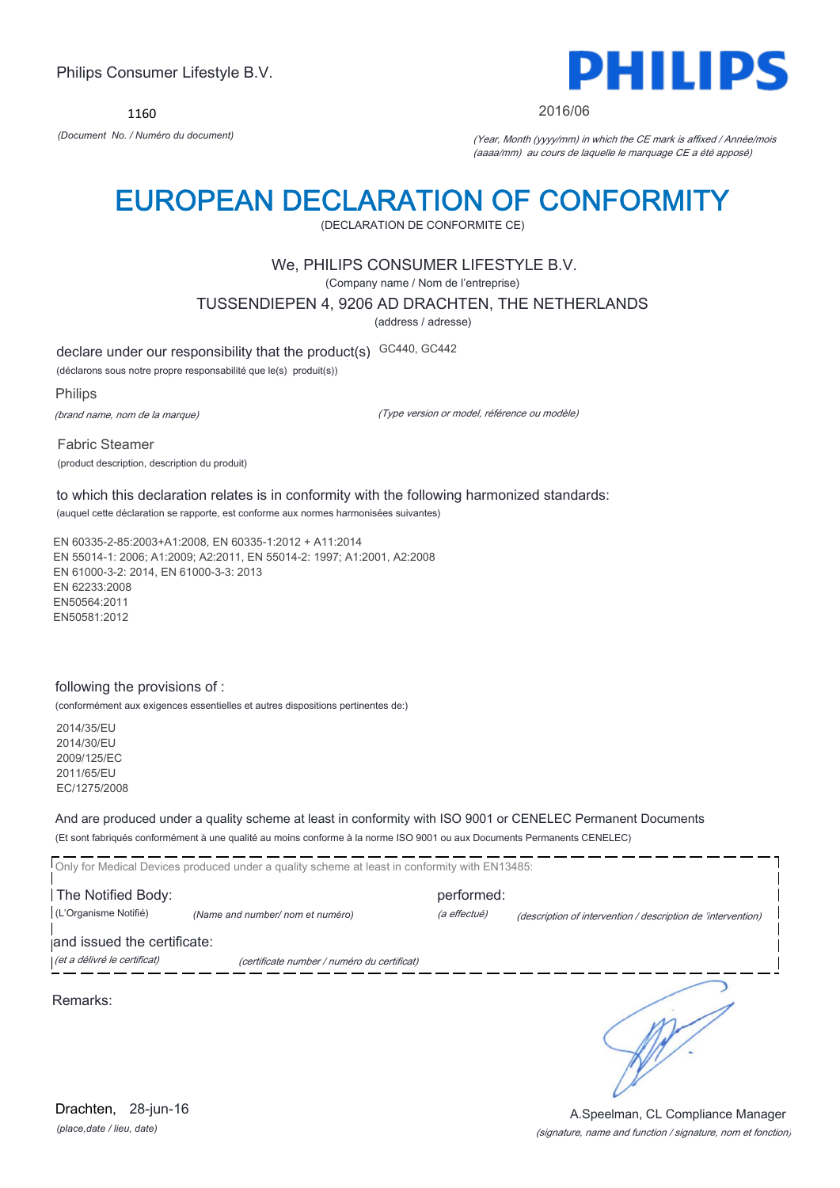1160



#### 2016/06

*(Document No. / Numéro du document)* (Year, Month (yyyy/mm) in which the CE mark is affixed / Année/mois (aaaa/mm) au cours de laquelle le marquage CE a été apposé)

## EUROPEAN DECLARATION OF CONFORMITY

(DECLARATION DE CONFORMITE CE)

### We, PHILIPS CONSUMER LIFESTYLE B.V.

(Company name / Nom de l'entreprise)

TUSSENDIEPEN 4, 9206 AD DRACHTEN, THE NETHERLANDS

(address / adresse)

declare under our responsibility that the product(s) GC440, GC442

(déclarons sous notre propre responsabilité que le(s) produit(s))

Philips

(brand name, nom de la marque)

(Type version or model, référence ou modèle)

Fabric Steamer (product description, description du produit)

to which this declaration relates is in conformity with the following harmonized standards: (auquel cette déclaration se rapporte, est conforme aux normes harmonisées suivantes)

EN 60335-2-85:2003+A1:2008, EN 60335-1:2012 + A11:2014 EN 55014-1: 2006; A1:2009; A2:2011, EN 55014-2: 1997; A1:2001, A2:2008 EN 61000-3-2: 2014, EN 61000-3-3: 2013 EN 62233:2008 EN50564:2011 EN50581:2012

#### following the provisions of :

(conformément aux exigences essentielles et autres dispositions pertinentes de:)

2014/35/EU 2014/30/EU 2009/125/EC 2011/65/EU EC/1275/2008

And are produced under a quality scheme at least in conformity with ISO 9001 or CENELEC Permanent Documents

(Et sont fabriqués conformément à une qualité au moins conforme à la norme ISO 9001 ou aux Documents Permanents CENELEC)

|                                             | Only for Medical Devices produced under a quality scheme at least in conformity with EN13485: |                            |                                                              |
|---------------------------------------------|-----------------------------------------------------------------------------------------------|----------------------------|--------------------------------------------------------------|
| The Notified Body:<br>(L'Organisme Notifié) | (Name and number/ nom et numéro)                                                              | performed:<br>(a effectué) | (description of intervention / description de 'intervention) |
| and issued the certificate:                 |                                                                                               |                            |                                                              |
| (et a délivré le certificat)                | (certificate number / numéro du certificat)                                                   |                            |                                                              |
| Remarks:                                    |                                                                                               |                            |                                                              |

*(place,date / lieu, date)* Drachten, 28-jun-16

#### (signature, name and function / signature, nom et fonction) A.Speelman, CL Compliance Manager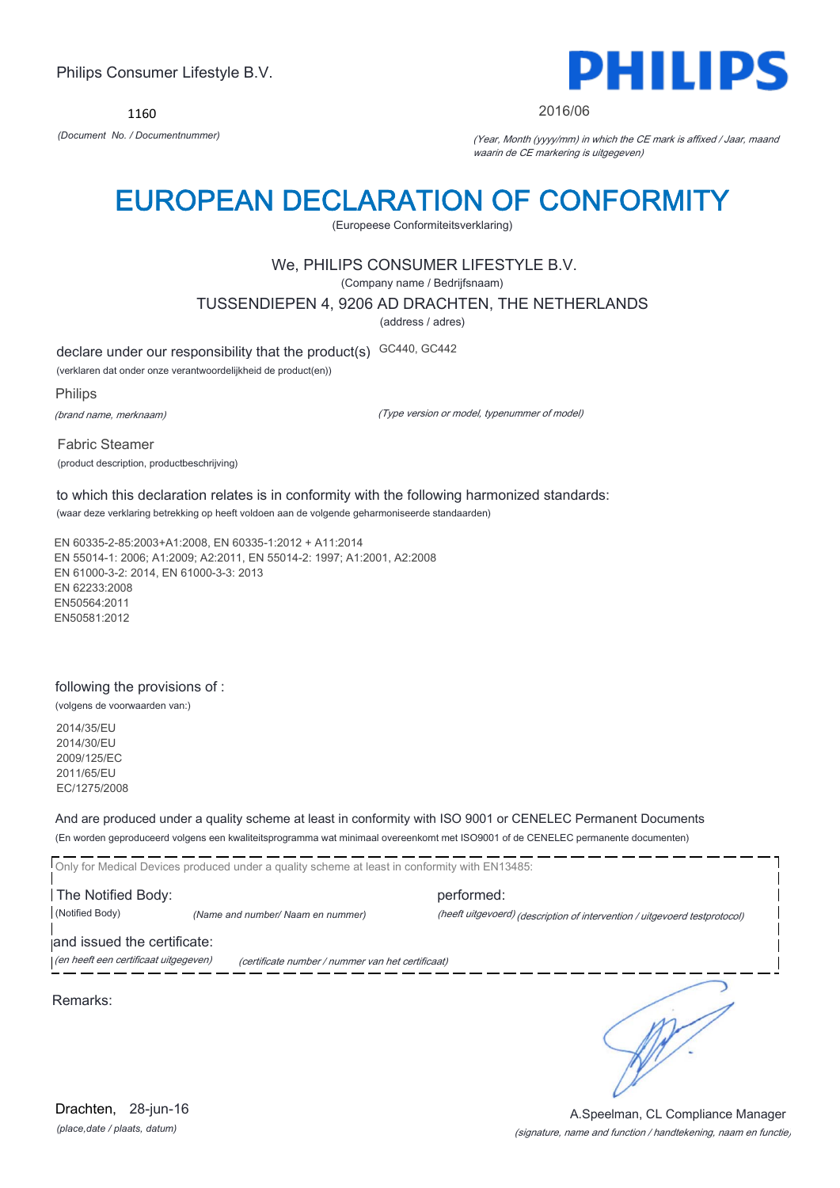1160



#### 2016/06

*(Document No. / Documentnummer)* (Year, Month (yyyy/mm) in which the CE mark is affixed / Jaar, maand waarin de CE markering is uitgegeven)

## EUROPEAN DECLARATION OF CONFORMITY

(Europeese Conformiteitsverklaring)

### We, PHILIPS CONSUMER LIFESTYLE B.V.

(Company name / Bedrijfsnaam)

TUSSENDIEPEN 4, 9206 AD DRACHTEN, THE NETHERLANDS

(address / adres)

declare under our responsibility that the product(s) GC440, GC442

(verklaren dat onder onze verantwoordelijkheid de product(en))

Philips

(brand name, merknaam)

(Type version or model, typenummer of model)

Fabric Steamer (product description, productbeschrijving)

to which this declaration relates is in conformity with the following harmonized standards: (waar deze verklaring betrekking op heeft voldoen aan de volgende geharmoniseerde standaarden)

EN 60335-2-85:2003+A1:2008, EN 60335-1:2012 + A11:2014 EN 55014-1: 2006; A1:2009; A2:2011, EN 55014-2: 1997; A1:2001, A2:2008 EN 61000-3-2: 2014, EN 61000-3-3: 2013 EN 62233:2008 EN50564:2011 EN50581:2012

#### following the provisions of :

(volgens de voorwaarden van:)

2014/35/EU 2014/30/EU 2009/125/EC 2011/65/EU EC/1275/2008

And are produced under a quality scheme at least in conformity with ISO 9001 or CENELEC Permanent Documents

(En worden geproduceerd volgens een kwaliteitsprogramma wat minimaal overeenkomt met ISO9001 of de CENELEC permanente documenten)

Only for Medical Devices produced under a quality scheme at least in conformity with EN13485: The Notified Body: performed: (Notified Body) *(Name and number/ Naam en nummer)* (heeft uitgevoerd) (description of intervention / uitgevoerd testprotocol) and issued the certificate:

(en heeft een certificaat uitgegeven) (certificate number / nummer van het certificaat)

Remarks:

*(place,date / plaats, datum)* Drachten, 28-jun-16

٦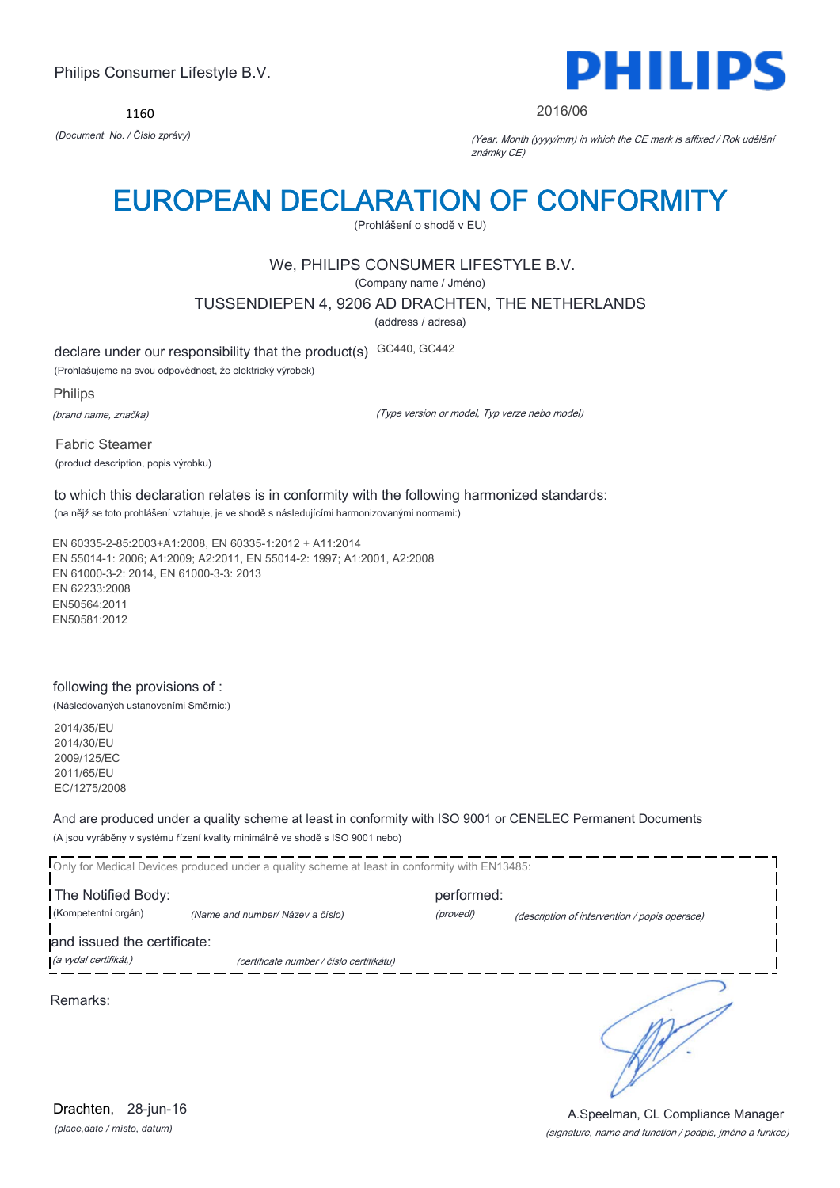1160



#### 2016/06

*(Document No. / Číslo zprávy)* (Year, Month (yyyy/mm) in which the CE mark is affixed / Rok udělění známky CE)

## EUROPEAN DECLARATION OF CONFORMITY

(Prohlášení o shodě v EU)

## We, PHILIPS CONSUMER LIFESTYLE B.V.

(Company name / Jméno)

#### TUSSENDIEPEN 4, 9206 AD DRACHTEN, THE NETHERLANDS

(address / adresa)

declare under our responsibility that the product(s) GC440, GC442

(Prohlašujeme na svou odpovědnost, že elektrický výrobek)

Philips

(brand name, značka)

(Type version or model, Typ verze nebo model)

Fabric Steamer (product description, popis výrobku)

to which this declaration relates is in conformity with the following harmonized standards: (na nějž se toto prohlášení vztahuje, je ve shodě s následujícími harmonizovanými normami:)

EN 60335-2-85:2003+A1:2008, EN 60335-1:2012 + A11:2014 EN 55014-1: 2006; A1:2009; A2:2011, EN 55014-2: 1997; A1:2001, A2:2008 EN 61000-3-2: 2014, EN 61000-3-3: 2013 EN 62233:2008 EN50564:2011 EN50581:2012

### following the provisions of :

(Následovaných ustanoveními Směrnic:)

2014/35/EU 2014/30/EU 2009/125/EC 2011/65/EU EC/1275/2008

And are produced under a quality scheme at least in conformity with ISO 9001 or CENELEC Permanent Documents (A jsou vyráběny v systému řízení kvality minimálně ve shodě s ISO 9001 nebo)

Only for Medical Devices produced under a quality scheme at least in conformity with EN13485: The Notified Body: performed: (Kompetentní orgán) *(Name and number/ Název a číslo)* (provedl) (description of intervention / popis operace) and issued the certificate: (a vydal certifikát,) (certificate number / číslo certifikátu) ℩ Remarks:

*(place,date / místo, datum)* Drachten, 28-jun-16

#### (signature, name and function / podpis, jméno a funkce) A.Speelman, CL Compliance Manager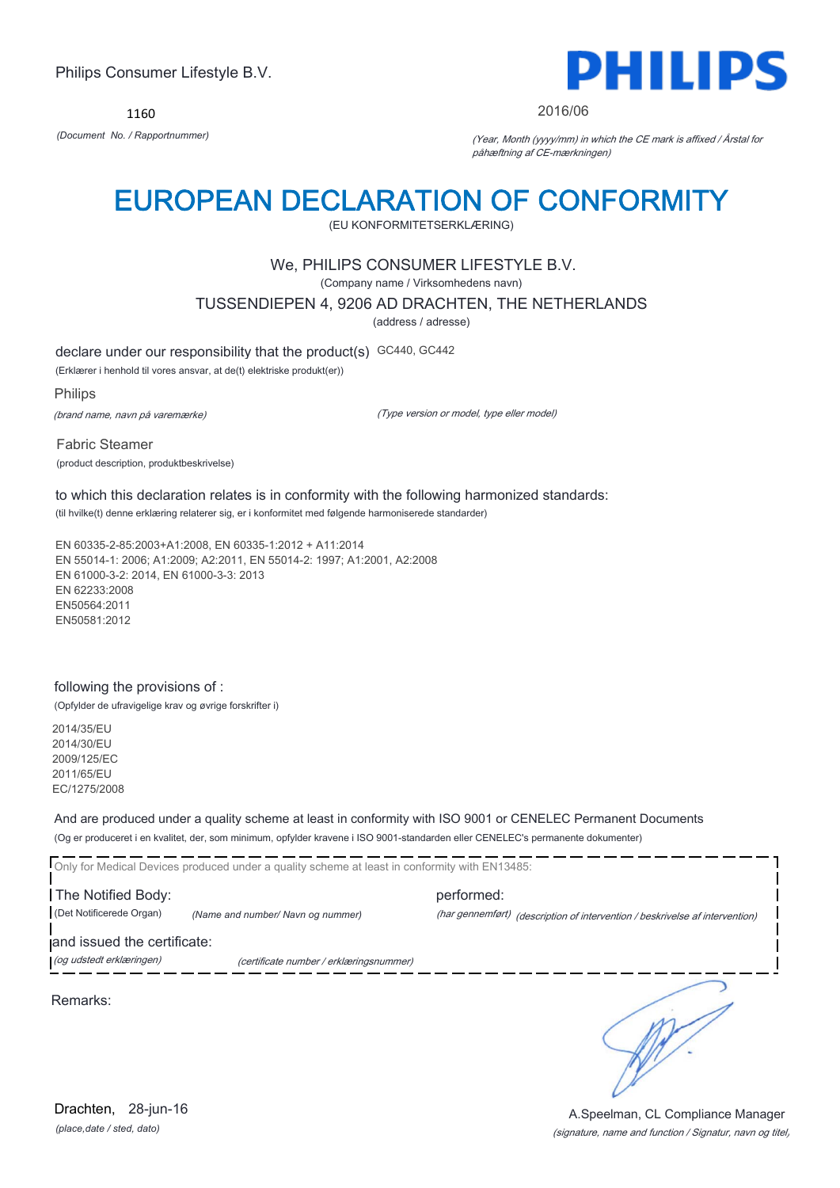1160



#### 2016/06

*(Document No. / Rapportnummer)* (Year, Month (yyyy/mm) in which the CE mark is affixed / Årstal for påhæftning af CE-mærkningen)

## EUROPEAN DECLARATION OF CONFORMITY

(EU KONFORMITETSERKLÆRING)

### We, PHILIPS CONSUMER LIFESTYLE B.V.

(Company name / Virksomhedens navn)

TUSSENDIEPEN 4, 9206 AD DRACHTEN, THE NETHERLANDS

(address / adresse)

declare under our responsibility that the product(s) GC440, GC442

(Erklærer i henhold til vores ansvar, at de(t) elektriske produkt(er))

Philips

(brand name, navn på varemærke)

(Type version or model, type eller model)

Fabric Steamer (product description, produktbeskrivelse)

to which this declaration relates is in conformity with the following harmonized standards: (til hvilke(t) denne erklæring relaterer sig, er i konformitet med følgende harmoniserede standarder)

EN 60335-2-85:2003+A1:2008, EN 60335-1:2012 + A11:2014 EN 55014-1: 2006; A1:2009; A2:2011, EN 55014-2: 1997; A1:2001, A2:2008 EN 61000-3-2: 2014, EN 61000-3-3: 2013 EN 62233:2008 EN50564:2011 EN50581:2012

#### following the provisions of :

(Opfylder de ufravigelige krav og øvrige forskrifter i)

2014/35/EU 2014/30/EU 2009/125/EC 2011/65/EU EC/1275/2008

And are produced under a quality scheme at least in conformity with ISO 9001 or CENELEC Permanent Documents

(Og er produceret i en kvalitet, der, som minimum, opfylder kravene i ISO 9001-standarden eller CENELEC's permanente dokumenter)

Only for Medical Devices produced under a quality scheme at least in conformity with EN13485:

The Notified Body: example and performed: (Det Notificerede Organ) *(Name and number/ Navn og nummer)* (har gennemført) (description of intervention / beskrivelse af intervention)

and issued the certificate:

(og udstedt erklæringen) (certificate number / erklæringsnummer)

Remarks:

*(place,date / sted, dato)* Drachten, 28-jun-16

# A.Speelman, CL Compliance Manager

٦

(signature, name and function / Signatur, navn og titel)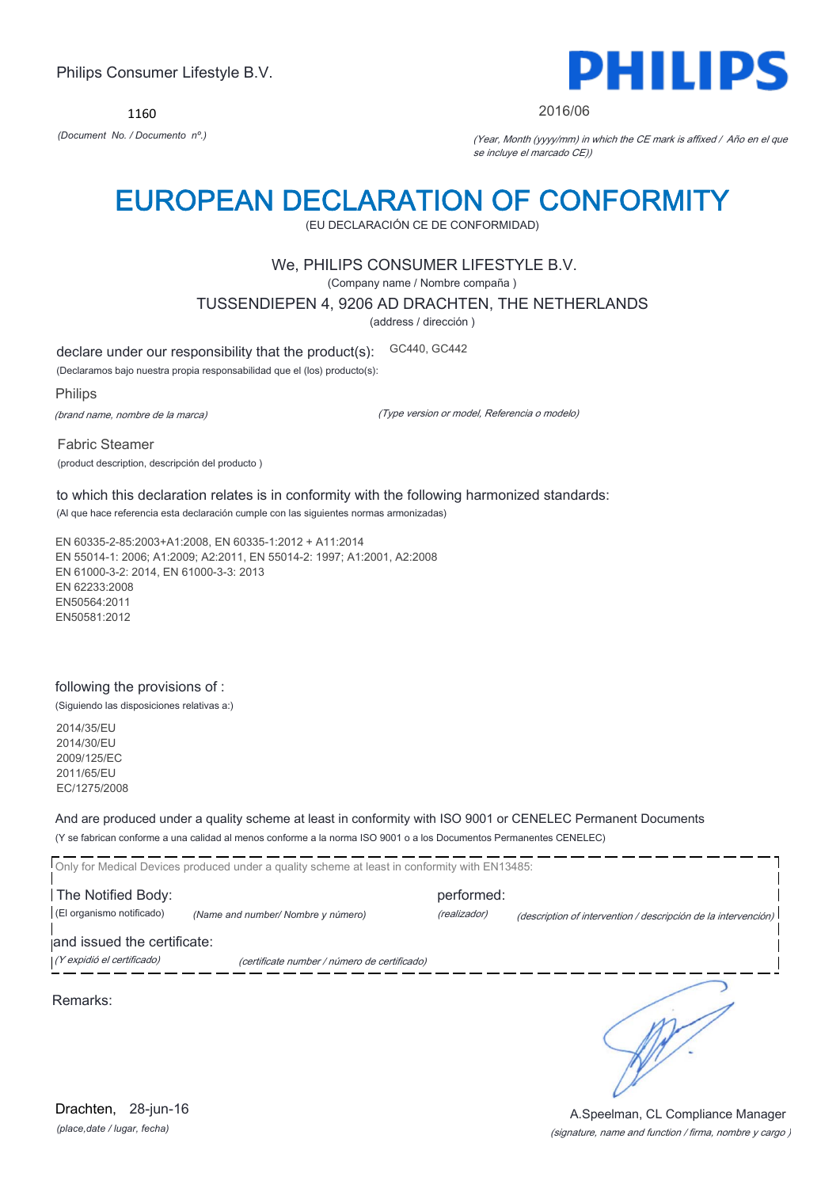1160



#### 2016/06

*(Document No. / Documento nº.)* (Year, Month (yyyy/mm) in which the CE mark is affixed / Año en el que se incluye el marcado CE))

## EUROPEAN DECLARATION OF CONFORMITY

(EU DECLARACIÓN CE DE CONFORMIDAD)

### We, PHILIPS CONSUMER LIFESTYLE B.V.

(Company name / Nombre compaña )

TUSSENDIEPEN 4, 9206 AD DRACHTEN, THE NETHERLANDS

(address / dirección )

declare under our responsibility that the product(s): GC440, GC442

(Declaramos bajo nuestra propia responsabilidad que el (los) producto(s):

Philips

(brand name, nombre de la marca)

(Type version or model, Referencia o modelo)

Fabric Steamer (product description, descripción del producto )

to which this declaration relates is in conformity with the following harmonized standards: (Al que hace referencia esta declaración cumple con las siguientes normas armonizadas)

EN 60335-2-85:2003+A1:2008, EN 60335-1:2012 + A11:2014 EN 55014-1: 2006; A1:2009; A2:2011, EN 55014-2: 1997; A1:2001, A2:2008 EN 61000-3-2: 2014, EN 61000-3-3: 2013 EN 62233:2008 EN50564:2011 EN50581:2012

### following the provisions of :

(Siguiendo las disposiciones relativas a:)

2014/35/EU 2014/30/EU 2009/125/EC 2011/65/EU EC/1275/2008

And are produced under a quality scheme at least in conformity with ISO 9001 or CENELEC Permanent Documents

(Y se fabrican conforme a una calidad al menos conforme a la norma ISO 9001 o a los Documentos Permanentes CENELEC)

|                             | Only for Medical Devices produced under a quality scheme at least in conformity with EN13485: |              |                                                                |
|-----------------------------|-----------------------------------------------------------------------------------------------|--------------|----------------------------------------------------------------|
| The Notified Body:          |                                                                                               | performed:   |                                                                |
| (El organismo notificado)   | (Name and number/ Nombre y número)                                                            | (realizador) | (description of intervention / descripción de la intervención) |
| and issued the certificate: |                                                                                               |              |                                                                |
| (Y expidió el certificado)  | (certificate number / número de certificado)                                                  |              |                                                                |
| Remarks:                    |                                                                                               |              |                                                                |

*(place,date / lugar, fecha)* Drachten, 28-jun-16

#### (signature, name and function / firma, nombre y cargo ) A.Speelman, CL Compliance Manager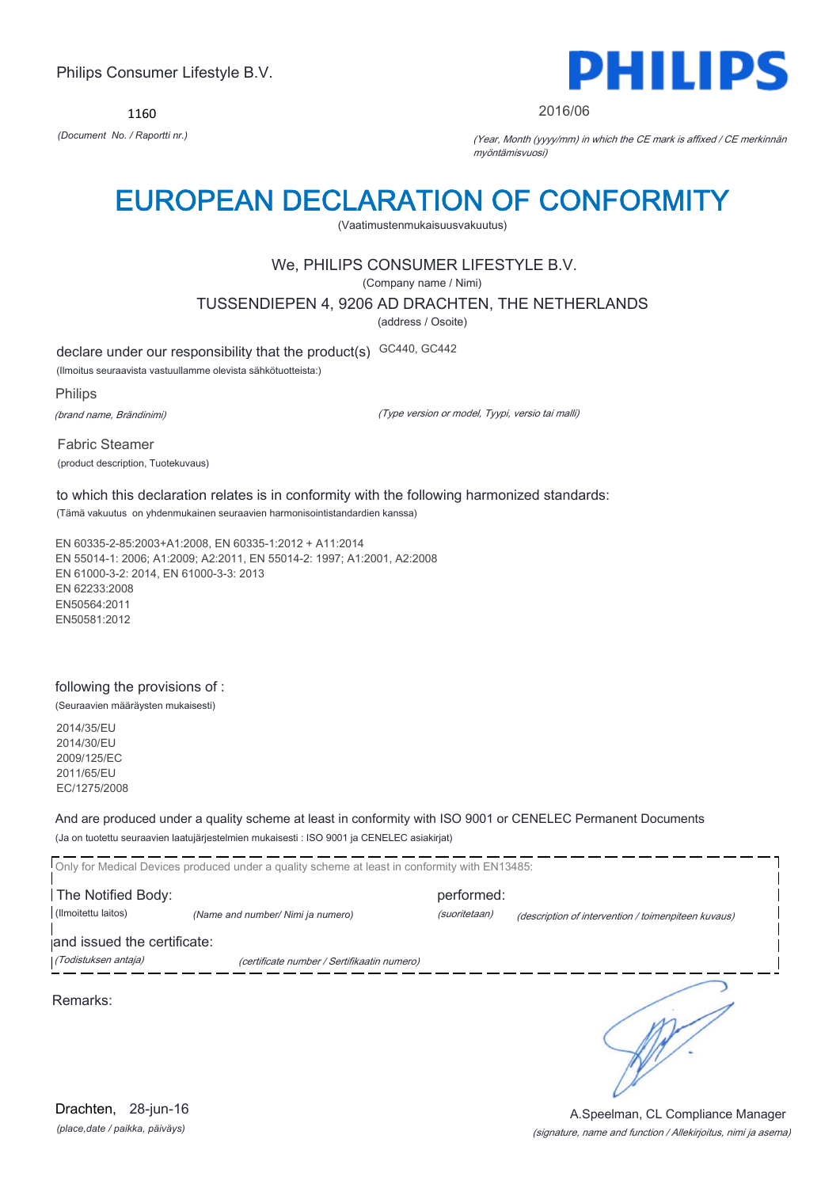1160



#### 2016/06

*(Document No. / Raportti nr.)* (Year, Month (yyyy/mm) in which the CE mark is affixed / CE merkinnän myöntämisvuosi)

## EUROPEAN DECLARATION OF CONFORMITY

(Vaatimustenmukaisuusvakuutus)

### We, PHILIPS CONSUMER LIFESTYLE B.V.

(Company name / Nimi)

TUSSENDIEPEN 4, 9206 AD DRACHTEN, THE NETHERLANDS

(address / Osoite)

declare under our responsibility that the product(s) GC440, GC442

(Ilmoitus seuraavista vastuullamme olevista sähkötuotteista:)

Philips

(brand name, Brändinimi)

(Type version or model, Tyypi, versio tai malli)

Fabric Steamer (product description, Tuotekuvaus)

to which this declaration relates is in conformity with the following harmonized standards: (Tämä vakuutus on yhdenmukainen seuraavien harmonisointistandardien kanssa)

EN 60335-2-85:2003+A1:2008, EN 60335-1:2012 + A11:2014 EN 55014-1: 2006; A1:2009; A2:2011, EN 55014-2: 1997; A1:2001, A2:2008 EN 61000-3-2: 2014, EN 61000-3-3: 2013 EN 62233:2008 EN50564:2011 EN50581:2012

## following the provisions of :

(Seuraavien määräysten mukaisesti)

2014/35/EU 2014/30/EU 2009/125/EC 2011/65/EU EC/1275/2008

And are produced under a quality scheme at least in conformity with ISO 9001 or CENELEC Permanent Documents (Ja on tuotettu seuraavien laatujärjestelmien mukaisesti : ISO 9001 ja CENELEC asiakirjat)

|                             | Only for Medical Devices produced under a quality scheme at least in conformity with EN13485: |               |                                                     |
|-----------------------------|-----------------------------------------------------------------------------------------------|---------------|-----------------------------------------------------|
| The Notified Body:          |                                                                                               | performed:    |                                                     |
| (Ilmoitettu laitos)         | (Name and number/ Nimi ja numero)                                                             | (suoritetaan) | (description of intervention / toimenpiteen kuvaus) |
| and issued the certificate: |                                                                                               |               |                                                     |
| (Todistuksen antaja)        | (certificate number / Sertifikaatin numero)                                                   |               |                                                     |
| Remarks:                    |                                                                                               |               |                                                     |

*(place,date / paikka, päiväys)* Drachten, 28-jun-16

#### (signature, name and function / Allekirjoitus, nimi ja asema) A.Speelman, CL Compliance Manager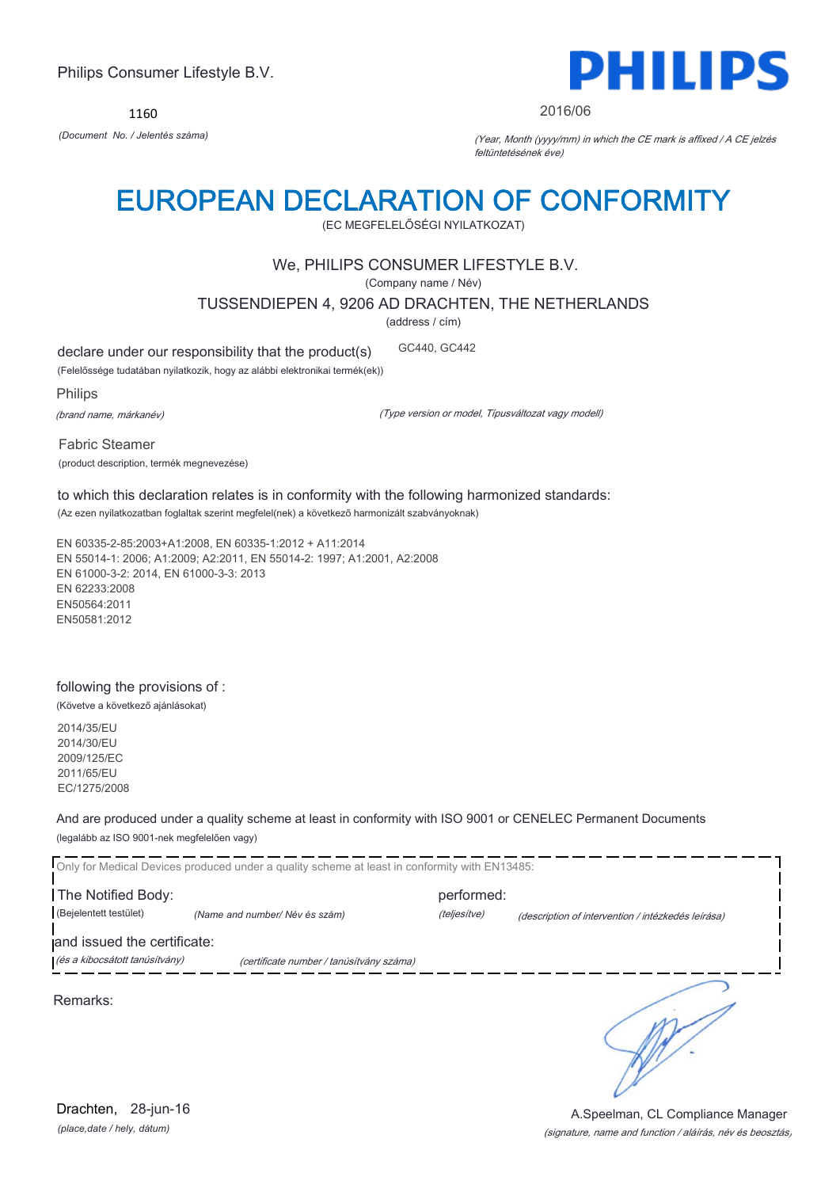1160



#### 2016/06

*(Document No. / Jelentés száma)* (Year, Month (yyyy/mm) in which the CE mark is affixed / A CE jelzés feltüntetésének éve)

## EUROPEAN DECLARATION OF CONFORMITY

(EC MEGFELELŐSÉGI NYILATKOZAT)

## We, PHILIPS CONSUMER LIFESTYLE B.V.

(Company name / Név)

TUSSENDIEPEN 4, 9206 AD DRACHTEN, THE NETHERLANDS

(address / cím)

declare under our responsibility that the product(s) GC440, GC442

(Felelőssége tudatában nyilatkozik, hogy az alábbi elektronikai termék(ek))

Philips

(brand name, márkanév)

(Type version or model, Típusváltozat vagy modell)

Fabric Steamer (product description, termék megnevezése)

to which this declaration relates is in conformity with the following harmonized standards: (Az ezen nyilatkozatban foglaltak szerint megfelel(nek) a következő harmonizált szabványoknak)

EN 60335-2-85:2003+A1:2008, EN 60335-1:2012 + A11:2014 EN 55014-1: 2006; A1:2009; A2:2011, EN 55014-2: 1997; A1:2001, A2:2008 EN 61000-3-2: 2014, EN 61000-3-3: 2013 EN 62233:2008 EN50564:2011 EN50581:2012

## following the provisions of :

(Követve a következő ajánlásokat)

2014/35/EU 2014/30/EU 2009/125/EC 2011/65/EU EC/1275/2008

And are produced under a quality scheme at least in conformity with ISO 9001 or CENELEC Permanent Documents (legalább az ISO 9001-nek megfelelően vagy)

Only for Medical Devices produced under a quality scheme at least in conformity with EN13485: The Notified Body: performed: (Bejelentett testület) *(Name and number/ Név és szám)* (teljesítve) (description of intervention / intézkedés leírása) and issued the certificate: (és a kibocsátott tanúsítvány) (certificate number / tanúsítvány száma) ٦ Remarks:

*(place,date / hely, dátum)* Drachten, 28-jun-16

#### (signature, name and function / aláírás, név és beosztás) A.Speelman, CL Compliance Manager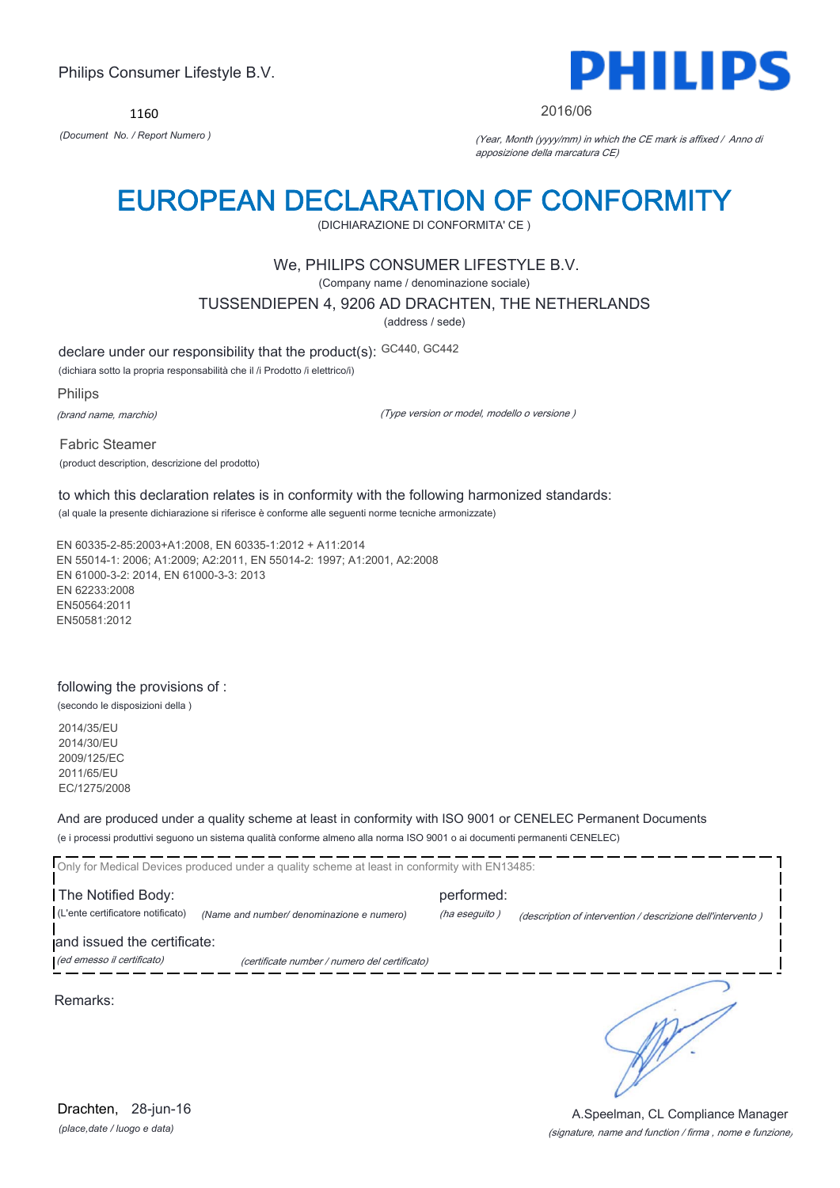1160



#### 2016/06

*(Document No. / Report Numero )* (Year, Month (yyyy/mm) in which the CE mark is affixed / Anno di apposizione della marcatura CE)

## EUROPEAN DECLARATION OF CONFORMITY

(DICHIARAZIONE DI CONFORMITA' CE )

### We, PHILIPS CONSUMER LIFESTYLE B.V.

(Company name / denominazione sociale)

TUSSENDIEPEN 4, 9206 AD DRACHTEN, THE NETHERLANDS

(address / sede)

declare under our responsibility that the product(s): GC440, GC442

(dichiara sotto la propria responsabilità che il /i Prodotto /i elettrico/i)

Philips

(brand name, marchio)

(Type version or model, modello o versione )

Fabric Steamer (product description, descrizione del prodotto)

to which this declaration relates is in conformity with the following harmonized standards: (al quale la presente dichiarazione si riferisce è conforme alle seguenti norme tecniche armonizzate)

EN 60335-2-85:2003+A1:2008, EN 60335-1:2012 + A11:2014 EN 55014-1: 2006; A1:2009; A2:2011, EN 55014-2: 1997; A1:2001, A2:2008 EN 61000-3-2: 2014, EN 61000-3-3: 2013 EN 62233:2008 EN50564:2011 EN50581:2012

### following the provisions of :

(secondo le disposizioni della )

2014/35/EU 2014/30/EU 2009/125/EC 2011/65/EU EC/1275/2008

And are produced under a quality scheme at least in conformity with ISO 9001 or CENELEC Permanent Documents

(e i processi produttivi seguono un sistema qualità conforme almeno alla norma ISO 9001 o ai documenti permanenti CENELEC)

|                                   | Only for Medical Devices produced under a quality scheme at least in conformity with EN13485: |               |                                                             |  |
|-----------------------------------|-----------------------------------------------------------------------------------------------|---------------|-------------------------------------------------------------|--|
| The Notified Body:                |                                                                                               | performed:    |                                                             |  |
| (L'ente certificatore notificato) | (Name and number/ denominazione e numero)                                                     | (ha eseguito) | (description of intervention / descrizione dell'intervento) |  |
| and issued the certificate:       |                                                                                               |               |                                                             |  |
| (ed emesso il certificato)        | (certificate number / numero del certificato)                                                 |               |                                                             |  |
|                                   |                                                                                               |               |                                                             |  |

Remarks:

*(place,date / luogo e data)* Drachten, 28-jun-16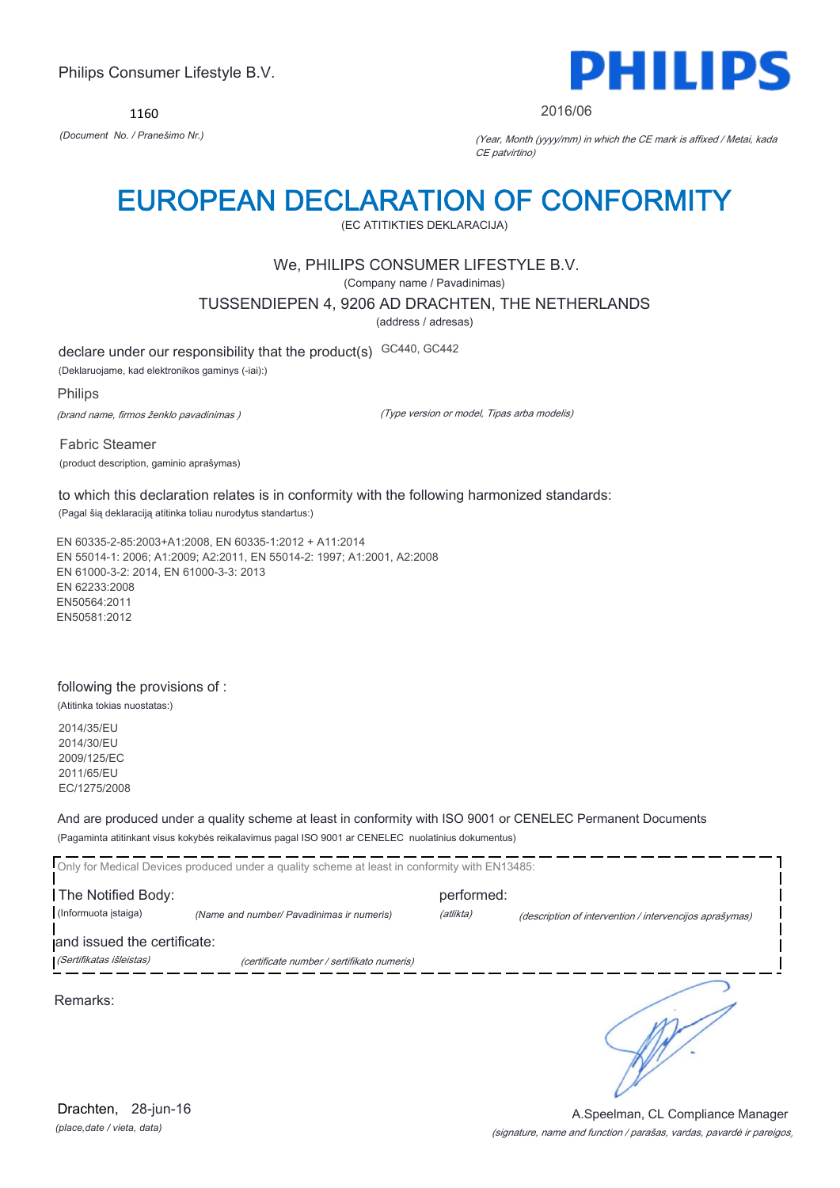1160



2016/06

*(Document No. / Pranešimo Nr.)* (Year, Month (yyyy/mm) in which the CE mark is affixed / Metai, kada CE patvirtino)

## EUROPEAN DECLARATION OF CONFORMITY

(EC ATITIKTIES DEKLARACIJA)

## We, PHILIPS CONSUMER LIFESTYLE B.V.

(Company name / Pavadinimas)

TUSSENDIEPEN 4, 9206 AD DRACHTEN, THE NETHERLANDS

(address / adresas)

declare under our responsibility that the product(s) GC440, GC442

(Deklaruojame, kad elektronikos gaminys (-iai):)

Philips

(brand name, firmos ženklo pavadinimas )

(Type version or model, Tipas arba modelis)

Fabric Steamer (product description, gaminio aprašymas)

to which this declaration relates is in conformity with the following harmonized standards: (Pagal šią deklaraciją atitinka toliau nurodytus standartus:)

EN 60335-2-85:2003+A1:2008, EN 60335-1:2012 + A11:2014 EN 55014-1: 2006; A1:2009; A2:2011, EN 55014-2: 1997; A1:2001, A2:2008 EN 61000-3-2: 2014, EN 61000-3-3: 2013 EN 62233:2008 EN50564:2011 EN50581:2012

## following the provisions of :

(Atitinka tokias nuostatas:)

2014/35/EU 2014/30/EU 2009/125/EC 2011/65/EU EC/1275/2008

And are produced under a quality scheme at least in conformity with ISO 9001 or CENELEC Permanent Documents

(Pagaminta atitinkant visus kokybės reikalavimus pagal ISO 9001 ar CENELEC nuolatinius dokumentus)

|                                                         | Only for Medical Devices produced under a quality scheme at least in conformity with EN13485: |            |                                                         |
|---------------------------------------------------------|-----------------------------------------------------------------------------------------------|------------|---------------------------------------------------------|
| The Notified Body:                                      |                                                                                               | performed: |                                                         |
| (Informuota istaiga)                                    | (Name and number/ Pavadinimas ir numeris)                                                     | (atlikta)  | (description of intervention / intervencijos aprašymas) |
| and issued the certificate:<br>(Sertifikatas išleistas) | (certificate number / sertifikato numeris)                                                    |            |                                                         |
| Remarks:                                                |                                                                                               |            |                                                         |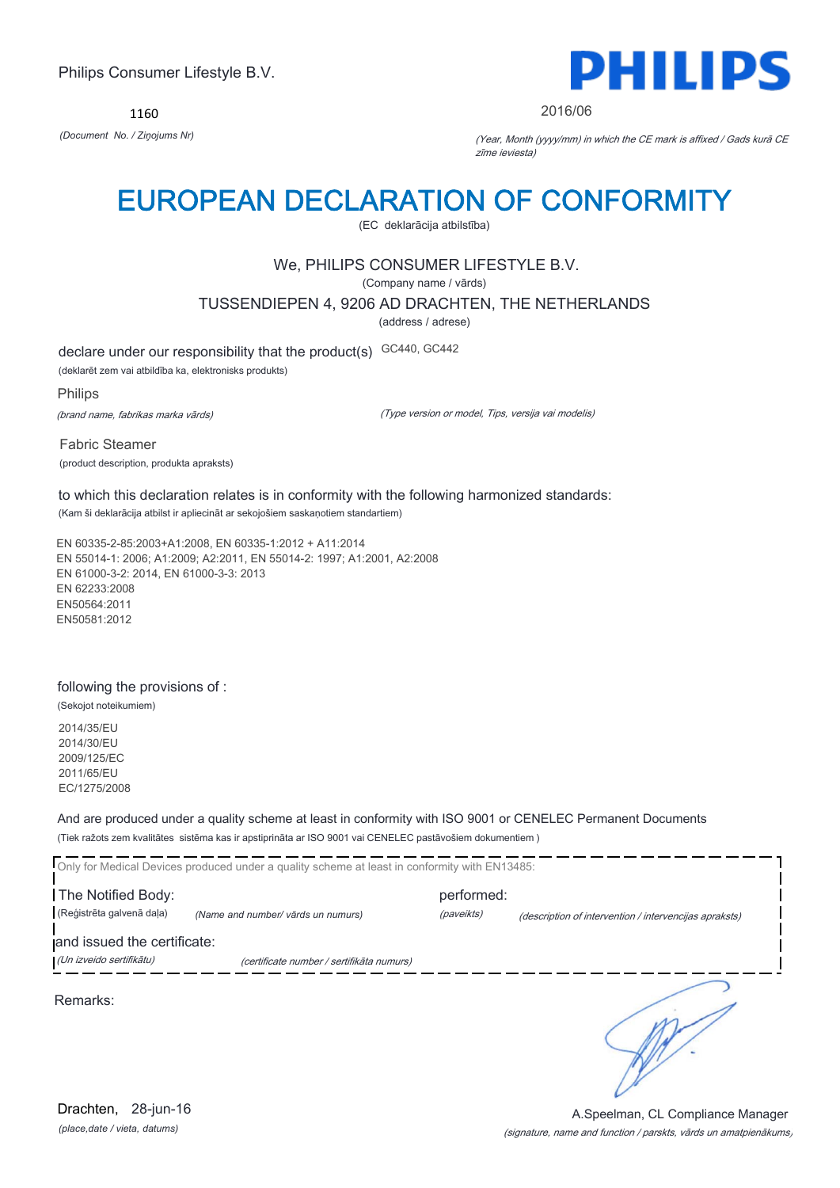1160



#### 2016/06

*(Document No. / Ziņojums Nr)* (Year, Month (yyyy/mm) in which the CE mark is affixed / Gads kurā CE zīme ieviesta)

## EUROPEAN DECLARATION OF CONFORMITY

(EC deklarācija atbilstība)

## We, PHILIPS CONSUMER LIFESTYLE B.V.

(Company name / vārds)

TUSSENDIEPEN 4, 9206 AD DRACHTEN, THE NETHERLANDS

(address / adrese)

declare under our responsibility that the product(s) GC440, GC442

(deklarēt zem vai atbildība ka, elektronisks produkts)

Philips

(brand name, fabrikas marka vārds)

(Type version or model, Tips, versija vai modelis)

Fabric Steamer (product description, produkta apraksts)

to which this declaration relates is in conformity with the following harmonized standards: (Kam ši deklarācija atbilst ir apliecināt ar sekojošiem saskaņotiem standartiem)

EN 60335-2-85:2003+A1:2008, EN 60335-1:2012 + A11:2014 EN 55014-1: 2006; A1:2009; A2:2011, EN 55014-2: 1997; A1:2001, A2:2008 EN 61000-3-2: 2014, EN 61000-3-3: 2013 EN 62233:2008 EN50564:2011 EN50581:2012

### following the provisions of :

(Sekojot noteikumiem)

2014/35/EU 2014/30/EU 2009/125/EC 2011/65/EU EC/1275/2008

And are produced under a quality scheme at least in conformity with ISO 9001 or CENELEC Permanent Documents

(Tiek ražots zem kvalitātes sistēma kas ir apstiprināta ar ISO 9001 vai CENELEC pastāvošiem dokumentiem )

|                             | Only for Medical Devices produced under a quality scheme at least in conformity with EN13485: |            |                                                        |
|-----------------------------|-----------------------------------------------------------------------------------------------|------------|--------------------------------------------------------|
| The Notified Body:          |                                                                                               | performed: |                                                        |
| (Reģistrēta galvenā daļa)   | (Name and number/ vārds un numurs)                                                            | (paveikts) | (description of intervention / intervencijas apraksts) |
| and issued the certificate: |                                                                                               |            |                                                        |
| (Un izveido sertifikātu)    | (certificate number / sertifikāta numurs)                                                     |            |                                                        |
| Remarks:                    |                                                                                               |            |                                                        |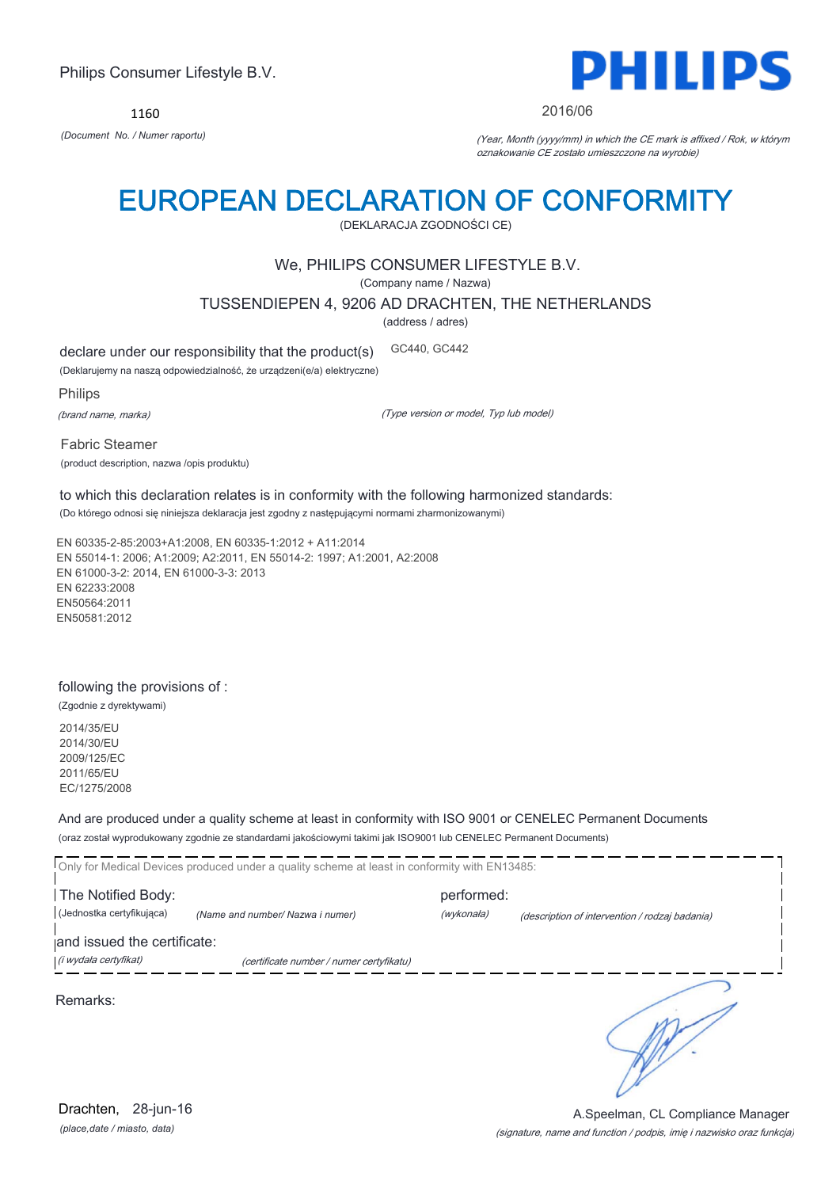1160



#### 2016/06

*(Document No. / Numer raportu)* (Year, Month (yyyy/mm) in which the CE mark is affixed / Rok, w którym oznakowanie CE zostało umieszczone na wyrobie)

## EUROPEAN DECLARATION OF CONFORMITY

(DEKLARACJA ZGODNOŚCI CE)

### We, PHILIPS CONSUMER LIFESTYLE B.V.

(Company name / Nazwa)

TUSSENDIEPEN 4, 9206 AD DRACHTEN, THE NETHERLANDS

(address / adres)

declare under our responsibility that the product(s) GC440, GC442

(Deklarujemy na naszą odpowiedzialność, że urządzeni(e/a) elektryczne)

Philips

(brand name, marka)

(Type version or model, Typ lub model)

Fabric Steamer (product description, nazwa /opis produktu)

to which this declaration relates is in conformity with the following harmonized standards: (Do którego odnosi się niniejsza deklaracja jest zgodny z następującymi normami zharmonizowanymi)

EN 60335-2-85:2003+A1:2008, EN 60335-1:2012 + A11:2014 EN 55014-1: 2006; A1:2009; A2:2011, EN 55014-2: 1997; A1:2001, A2:2008 EN 61000-3-2: 2014, EN 61000-3-3: 2013 EN 62233:2008 EN50564:2011 EN50581:2012

#### following the provisions of :

(Zgodnie z dyrektywami)

2014/35/EU 2014/30/EU 2009/125/EC 2011/65/EU EC/1275/2008

And are produced under a quality scheme at least in conformity with ISO 9001 or CENELEC Permanent Documents

(oraz został wyprodukowany zgodnie ze standardami jakościowymi takimi jak ISO9001 lub CENELEC Permanent Documents)

Only for Medical Devices produced under a quality scheme at least in conformity with EN13485: The Notified Body: example and performed: (Jednostka certyfikująca) *(Name and number/ Nazwa i numer)* (wykonała) (description of intervention / rodzaj badania) and issued the certificate: (i wydała certyfikat) (certificate number / numer certyfikatu) ℩ Remarks: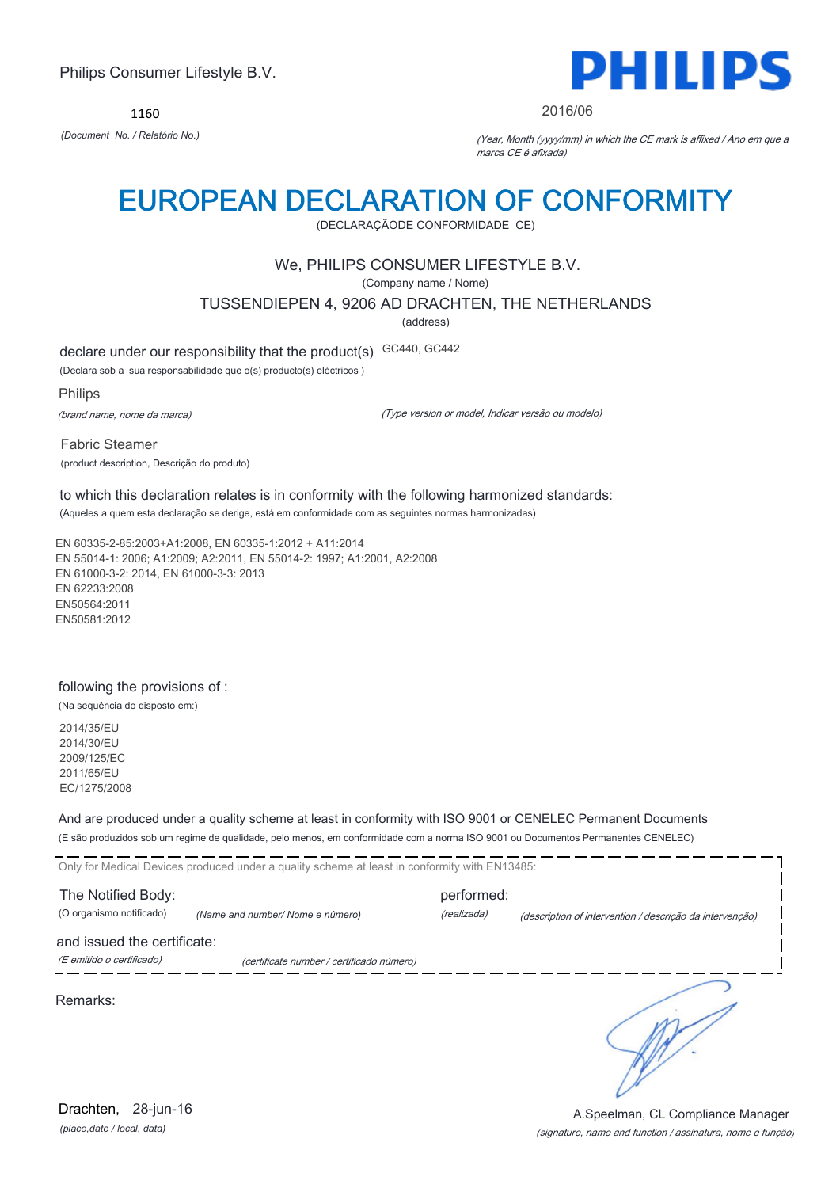1160



#### 2016/06

*(Document No. / Relatório No.)* (Year, Month (yyyy/mm) in which the CE mark is affixed / Ano em que a marca CE é afixada)

## EUROPEAN DECLARATION OF CONFORMITY

(DECLARAÇÃODE CONFORMIDADE CE)

### We, PHILIPS CONSUMER LIFESTYLE B.V.

(Company name / Nome)

TUSSENDIEPEN 4, 9206 AD DRACHTEN, THE NETHERLANDS

(address)

declare under our responsibility that the product(s) GC440, GC442

(Declara sob a sua responsabilidade que o(s) producto(s) eléctricos )

Philips

(brand name, nome da marca)

(Type version or model, Indicar versão ou modelo)

Fabric Steamer (product description, Descrição do produto)

to which this declaration relates is in conformity with the following harmonized standards: (Aqueles a quem esta declaração se derige, está em conformidade com as seguintes normas harmonizadas)

EN 60335-2-85:2003+A1:2008, EN 60335-1:2012 + A11:2014 EN 55014-1: 2006; A1:2009; A2:2011, EN 55014-2: 1997; A1:2001, A2:2008 EN 61000-3-2: 2014, EN 61000-3-3: 2013 EN 62233:2008 EN50564:2011 EN50581:2012

### following the provisions of :

(Na sequência do disposto em:)

2014/35/EU 2014/30/EU 2009/125/EC 2011/65/EU EC/1275/2008

And are produced under a quality scheme at least in conformity with ISO 9001 or CENELEC Permanent Documents

(E são produzidos sob um regime de qualidade, pelo menos, em conformidade com a norma ISO 9001 ou Documentos Permanentes CENELEC)

Only for Medical Devices produced under a quality scheme at least in conformity with EN13485: The Notified Body: example and performed: (O organismo notificado) *(Name and number/ Nome e número)* (realizada) (description of intervention / descrição da intervenção) and issued the certificate: (E emitido o certificado) (certificate number / certificado número)

Remarks:

*(place,date / local, data)* Drachten, 28-jun-16

#### (signature, name and function / assinatura, nome e função) A.Speelman, CL Compliance Manager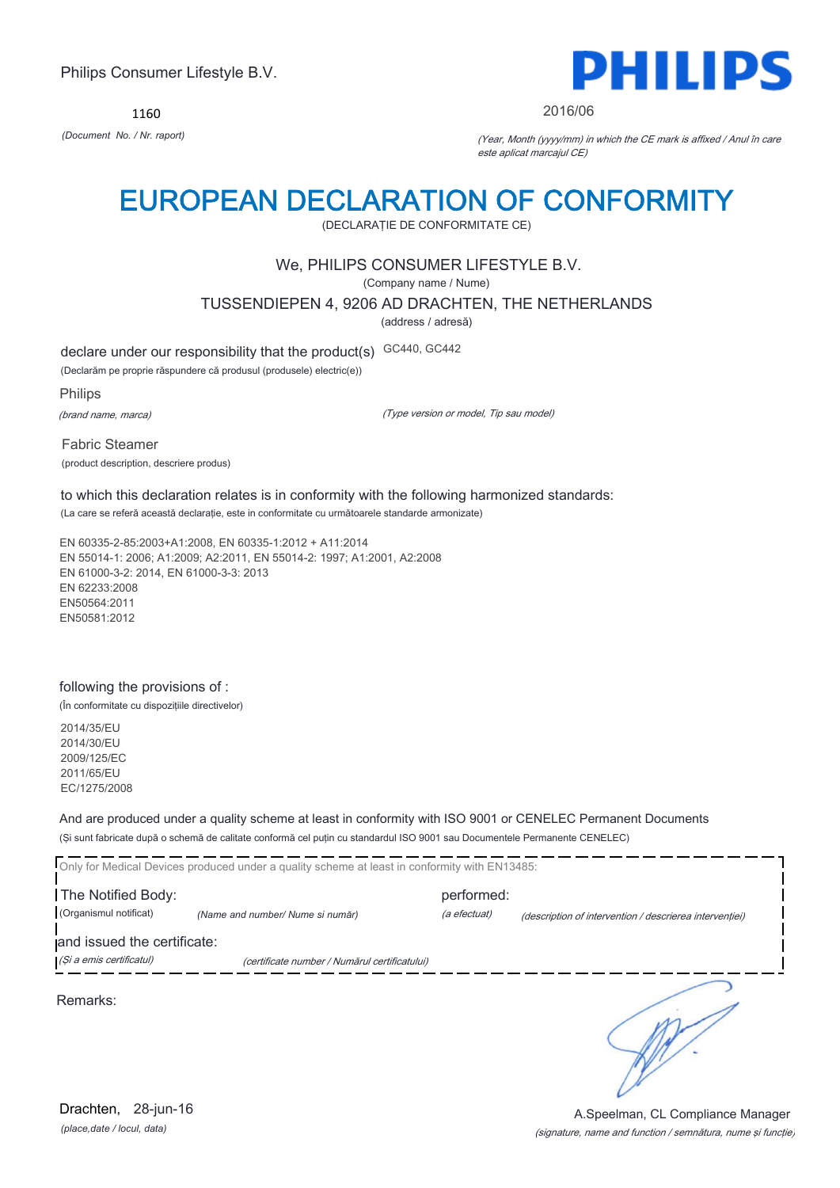1160



#### 2016/06

*(Document No. / Nr. raport)* (Year, Month (yyyy/mm) in which the CE mark is affixed / Anul în care este aplicat marcajul CE)

## EUROPEAN DECLARATION OF CONFORMITY

(DECLARAŢIE DE CONFORMITATE CE)

### We, PHILIPS CONSUMER LIFESTYLE B.V.

(Company name / Nume)

TUSSENDIEPEN 4, 9206 AD DRACHTEN, THE NETHERLANDS

(address / adresă)

declare under our responsibility that the product(s) GC440, GC442

(Declarăm pe proprie răspundere că produsul (produsele) electric(e))

Philips

(brand name, marca)

(Type version or model, Tip sau model)

Fabric Steamer (product description, descriere produs)

to which this declaration relates is in conformity with the following harmonized standards: (La care se referă această declaraţie, este in conformitate cu următoarele standarde armonizate)

EN 60335-2-85:2003+A1:2008, EN 60335-1:2012 + A11:2014 EN 55014-1: 2006; A1:2009; A2:2011, EN 55014-2: 1997; A1:2001, A2:2008 EN 61000-3-2: 2014, EN 61000-3-3: 2013 EN 62233:2008 EN50564:2011 EN50581:2012

### following the provisions of :

(În conformitate cu dispoziţiile directivelor)

2014/35/EU 2014/30/EU 2009/125/EC 2011/65/EU EC/1275/2008

And are produced under a quality scheme at least in conformity with ISO 9001 or CENELEC Permanent Documents

(Şi sunt fabricate după o schemă de calitate conformă cel puţin cu standardul ISO 9001 sau Documentele Permanente CENELEC)

|                             | Only for Medical Devices produced under a quality scheme at least in conformity with EN13485: |              |                                                         |  |
|-----------------------------|-----------------------------------------------------------------------------------------------|--------------|---------------------------------------------------------|--|
| The Notified Body:          |                                                                                               | performed:   |                                                         |  |
| (Organismul notificat)      | (Name and number/ Nume si număr)                                                              | (a efectuat) | (description of intervention / descrierea interventiei) |  |
| and issued the certificate: |                                                                                               |              |                                                         |  |
| (Și a emis certificatul)    | (certificate number / Numărul certificatului)                                                 |              |                                                         |  |
|                             |                                                                                               |              |                                                         |  |

Remarks:

*(place,date / locul, data)* Drachten, 28-jun-16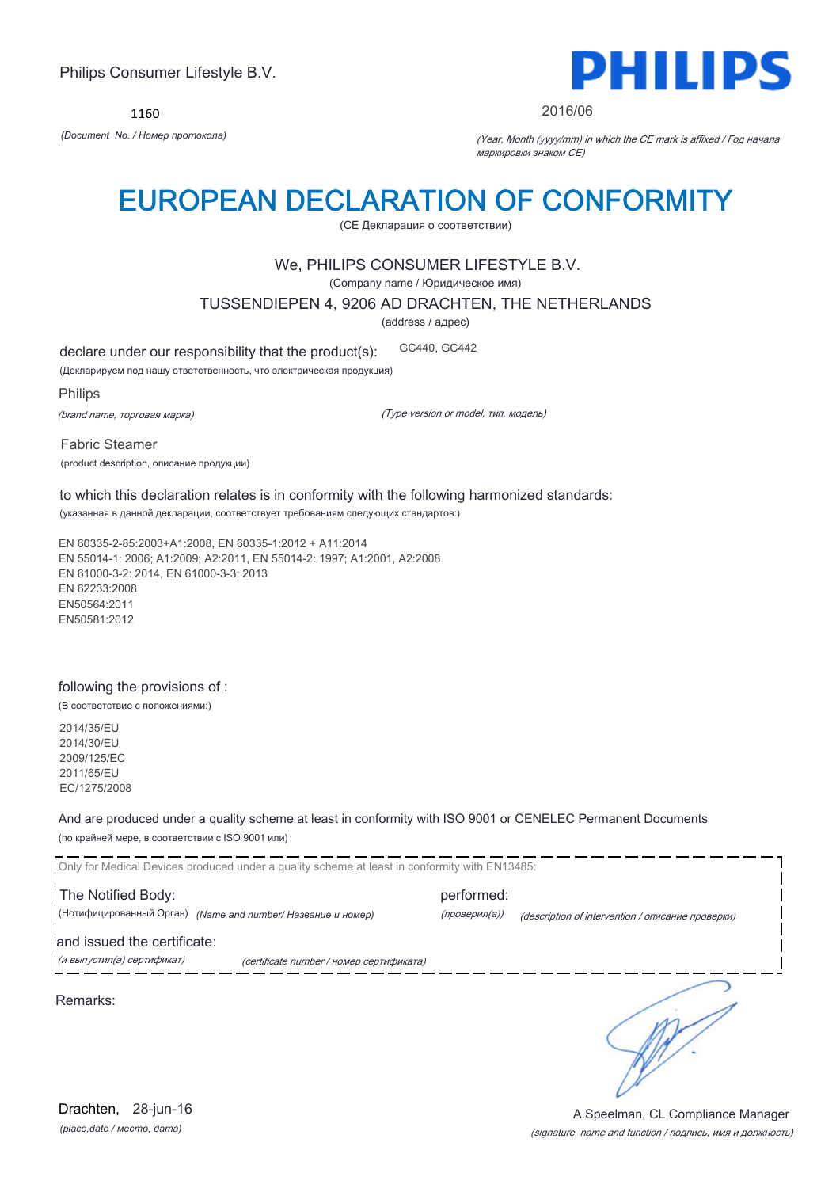1160



#### 2016/06

*(Document No. / Номер протокола)* (Year, Month (yyyy/mm) in which the CE mark is affixed / Год начала маркировки знаком CE)

## EUROPEAN DECLARATION OF CONFORMITY

(CE Декларация о соответствии)

### We, PHILIPS CONSUMER LIFESTYLE B.V.

(Company name / Юридическое имя)

TUSSENDIEPEN 4, 9206 AD DRACHTEN, THE NETHERLANDS

(address / адрес)

declare under our responsibility that the product(s): GC440, GC442

(Декларируем под нашу ответственность, что электрическая продукция)

Philips

(brand name, торговая марка)

(Type version or model, тип, модель)

Fabric Steamer (product description, описание продукции)

to which this declaration relates is in conformity with the following harmonized standards: (указанная в данной декларации, соответствует требованиям следующих стандартов:)

EN 60335-2-85:2003+A1:2008, EN 60335-1:2012 + A11:2014 EN 55014-1: 2006; A1:2009; A2:2011, EN 55014-2: 1997; A1:2001, A2:2008 EN 61000-3-2: 2014, EN 61000-3-3: 2013 EN 62233:2008 EN50564:2011 EN50581:2012

### following the provisions of :

(В соответствие с положениями:)

2014/35/EU 2014/30/EU 2009/125/EC 2011/65/EU EC/1275/2008

And are produced under a quality scheme at least in conformity with ISO 9001 or CENELEC Permanent Documents

(по крайней мере, в соответствии с ISO 9001 или)

Only for Medical Devices produced under a quality scheme at least in conformity with EN13485: The Notified Body: example and performed: (Нотифицированный Орган) *(Name and number/ Название и номер)* (проверил(а)) (description of intervention / описание проверки) and issued the certificate: (и выпустил(а) сертификат) (certificate number / номер сертификата) ℩ Remarks:

*(place,date / место, дата)* Drachten, 28-jun-16

#### (signature, name and function / подпись, имя и должность) A.Speelman, CL Compliance Manager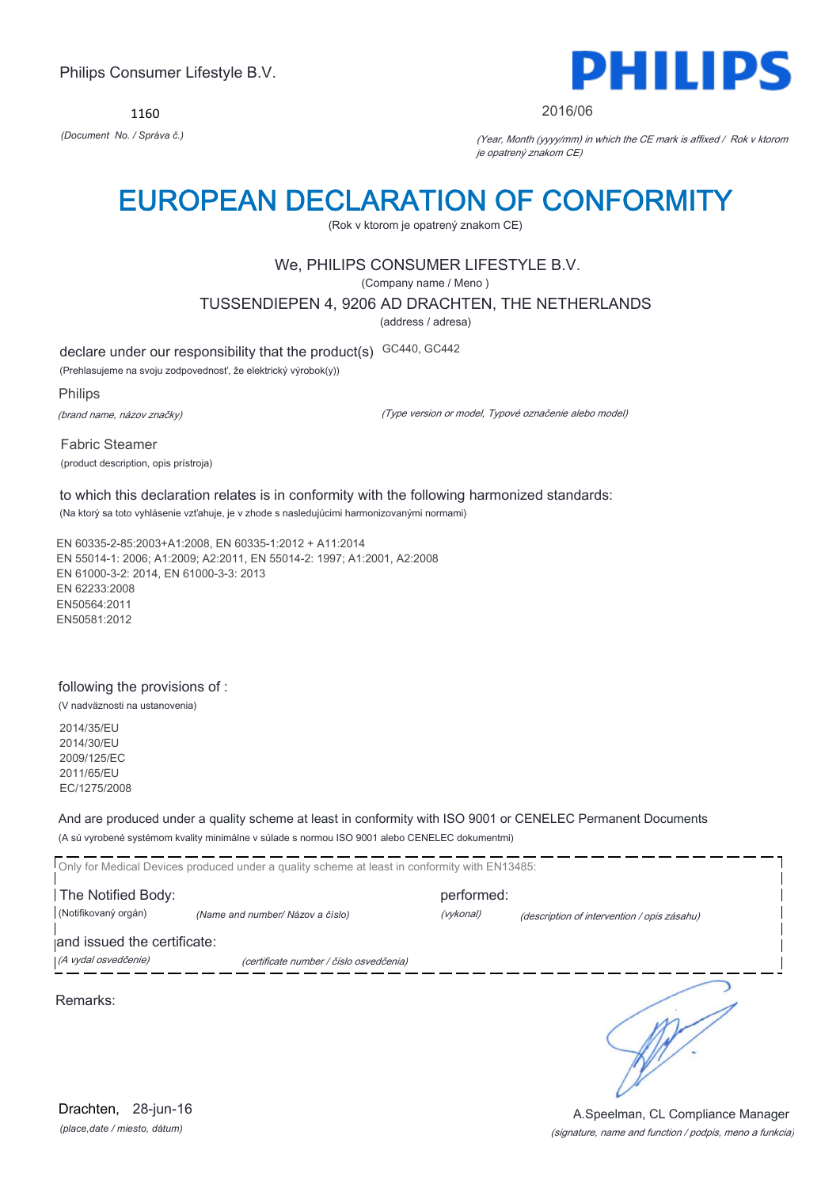1160



#### 2016/06

*(Document No. / Správa č.)* (Year, Month (yyyy/mm) in which the CE mark is affixed / Rok v ktorom je opatrený znakom CE)

## EUROPEAN DECLARATION OF CONFORMITY

(Rok v ktorom je opatrený znakom CE)

## We, PHILIPS CONSUMER LIFESTYLE B.V.

(Company name / Meno )

TUSSENDIEPEN 4, 9206 AD DRACHTEN, THE NETHERLANDS

(address / adresa)

declare under our responsibility that the product(s) GC440, GC442

(Prehlasujeme na svoju zodpovednosť, že elektrický výrobok(y))

Philips

(brand name, názov značky)

(Type version or model, Typové označenie alebo model)

Fabric Steamer (product description, opis prístroja)

to which this declaration relates is in conformity with the following harmonized standards: (Na ktorý sa toto vyhlásenie vzťahuje, je v zhode s nasledujúcimi harmonizovanými normami)

EN 60335-2-85:2003+A1:2008, EN 60335-1:2012 + A11:2014 EN 55014-1: 2006; A1:2009; A2:2011, EN 55014-2: 1997; A1:2001, A2:2008 EN 61000-3-2: 2014, EN 61000-3-3: 2013 EN 62233:2008 EN50564:2011 EN50581:2012

### following the provisions of :

(V nadväznosti na ustanovenia)

2014/35/EU 2014/30/EU 2009/125/EC 2011/65/EU EC/1275/2008

And are produced under a quality scheme at least in conformity with ISO 9001 or CENELEC Permanent Documents

(A sú vyrobené systémom kvality minimálne v súlade s normou ISO 9001 alebo CENELEC dokumentmi)

Only for Medical Devices produced under a quality scheme at least in conformity with EN13485: The Notified Body: example and performed: (Notifikovaný orgán) *(Name and number/ Názov a číslo)* (vykonal) (description of intervention / opis zásahu) and issued the certificate: (A vydal osvedčenie) (certificate number / číslo osvedčenia) ∍ Remarks: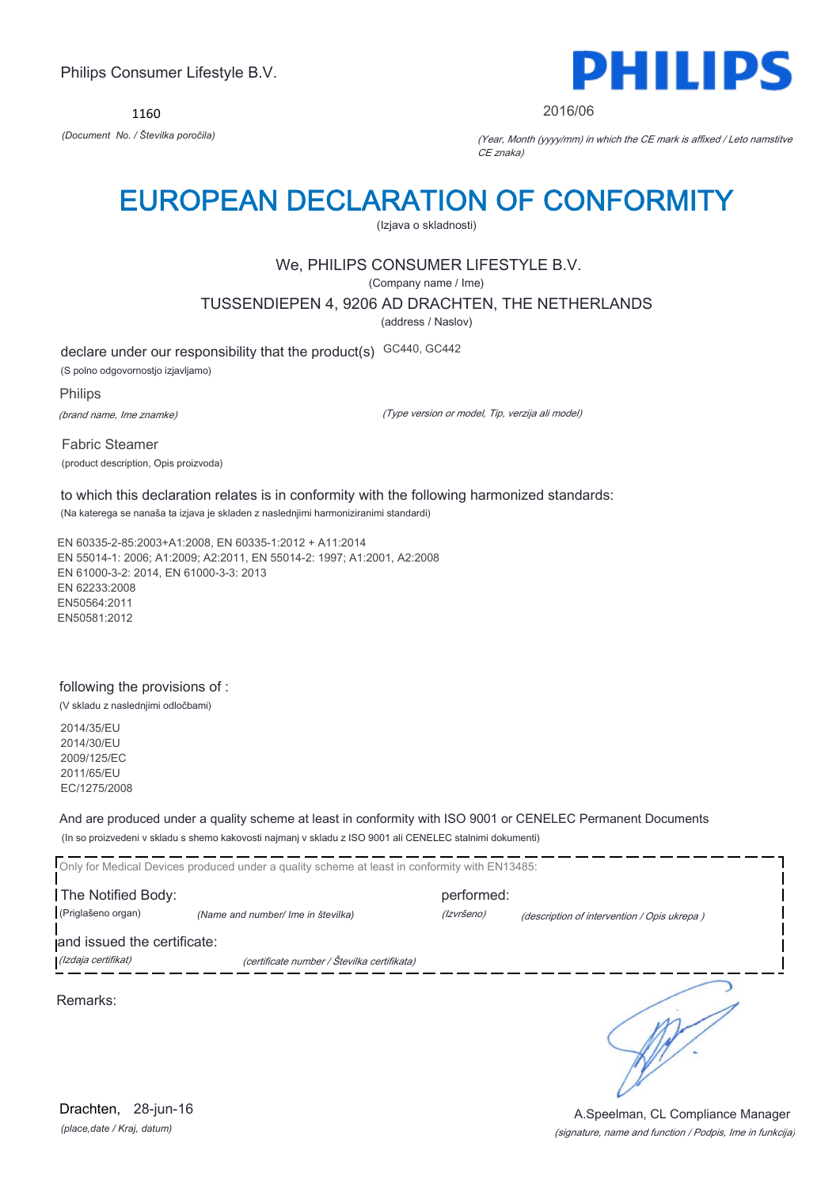1160



#### 2016/06

*(Document No. / Številka poročila)* (Year, Month (yyyy/mm) in which the CE mark is affixed / Leto namstitve CE znaka)

## EUROPEAN DECLARATION OF CONFORMITY

(Izjava o skladnosti)

## We, PHILIPS CONSUMER LIFESTYLE B.V.

(Company name / Ime)

TUSSENDIEPEN 4, 9206 AD DRACHTEN, THE NETHERLANDS

(address / Naslov)

declare under our responsibility that the product(s) GC440, GC442 (S polno odgovornostjo izjavljamo)

Philips (brand name, Ime znamke)

(Type version or model, Tip, verzija ali model)

Fabric Steamer (product description, Opis proizvoda)

to which this declaration relates is in conformity with the following harmonized standards: (Na katerega se nanaša ta izjava je skladen z naslednjimi harmoniziranimi standardi)

EN 60335-2-85:2003+A1:2008, EN 60335-1:2012 + A11:2014 EN 55014-1: 2006; A1:2009; A2:2011, EN 55014-2: 1997; A1:2001, A2:2008 EN 61000-3-2: 2014, EN 61000-3-3: 2013 EN 62233:2008 EN50564:2011 EN50581:2012

### following the provisions of :

(V skladu z naslednjimi odločbami)

2014/35/EU 2014/30/EU 2009/125/EC 2011/65/EU EC/1275/2008

And are produced under a quality scheme at least in conformity with ISO 9001 or CENELEC Permanent Documents

(In so proizvedeni v skladu s shemo kakovosti najmanj v skladu z ISO 9001 ali CENELEC stalnimi dokumenti)

|                                                    | Only for Medical Devices produced under a quality scheme at least in conformity with EN13485: |                          |                                             |
|----------------------------------------------------|-----------------------------------------------------------------------------------------------|--------------------------|---------------------------------------------|
| The Notified Body:<br>(Priglašeno organ)           | (Name and number/ Ime in številka)                                                            | performed:<br>(Izvršeno) | (description of intervention / Opis ukrepa) |
| and issued the certificate:<br>(Izdaja certifikat) | (certificate number / Številka certifikata)                                                   |                          |                                             |
| Remarks:                                           |                                                                                               |                          |                                             |
|                                                    |                                                                                               |                          |                                             |
|                                                    |                                                                                               |                          |                                             |

*(place,date / Kraj, datum)* Drachten, 28-jun-16

#### (signature, name and function / Podpis, Ime in funkcija) A.Speelman, CL Compliance Manager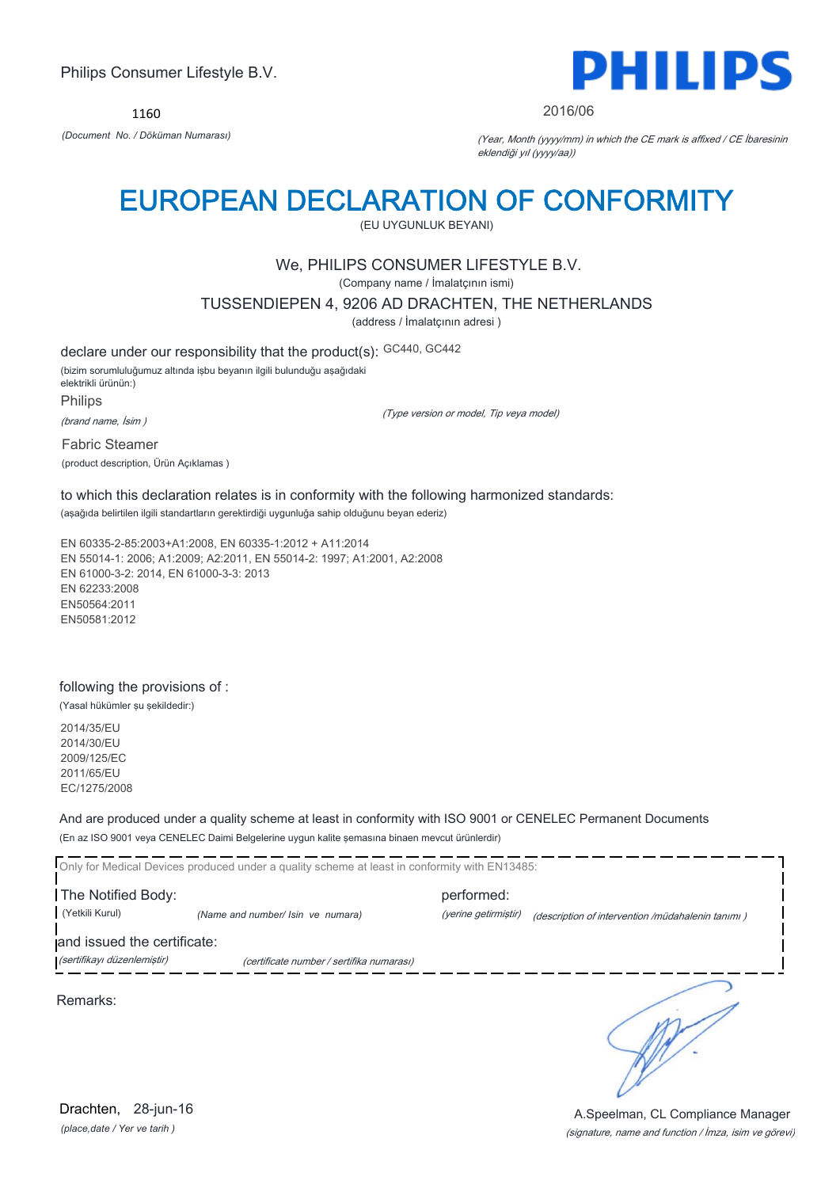1160



#### 2016/06

*(Document No. / Döküman Numarası)* (Year, Month (yyyy/mm) in which the CE mark is affixed / CE İbaresinin eklendiği yıl (yyyy/aa))

## EUROPEAN DECLARATION OF CONFORMITY

(EU UYGUNLUK BEYANI)

## We, PHILIPS CONSUMER LIFESTYLE B.V.

(Company name / İmalatçının ismi)

TUSSENDIEPEN 4, 9206 AD DRACHTEN, THE NETHERLANDS

(address / İmalatçının adresi )

declare under our responsibility that the product(s): GC440, GC442 (bizim sorumluluğumuz altında işbu beyanın ilgili bulunduğu aşağıdaki elektrikli ürünün:) Philips (brand name, İsim )

(Type version or model, Tip veya model)

Fabric Steamer (product description, Ürün Açıklamas )

to which this declaration relates is in conformity with the following harmonized standards: (aşağıda belirtilen ilgili standartların gerektirdiği uygunluğa sahip olduğunu beyan ederiz)

EN 60335-2-85:2003+A1:2008, EN 60335-1:2012 + A11:2014 EN 55014-1: 2006; A1:2009; A2:2011, EN 55014-2: 1997; A1:2001, A2:2008 EN 61000-3-2: 2014, EN 61000-3-3: 2013 EN 62233:2008 EN50564:2011 EN50581:2012

### following the provisions of :

(Yasal hükümler şu şekildedir:)

2014/35/EU 2014/30/EU 2009/125/EC 2011/65/EU EC/1275/2008

And are produced under a quality scheme at least in conformity with ISO 9001 or CENELEC Permanent Documents

(En az ISO 9001 veya CENELEC Daimi Belgelerine uygun kalite şemasına binaen mevcut ürünlerdir)

Only for Medical Devices produced under a quality scheme at least in conformity with EN13485:

The Notified Body: performed: (Yetkili Kurul) *(Name and number/ Isin ve numara)* (yerine getirmiştir) (description of intervention /müdahalenin tanımı ) and issued the certificate:

(sertifikayı düzenlemiştir) (certificate number / sertifika numarası)

Remarks:

*(place,date / Yer ve tarih )* Drachten, 28-jun-16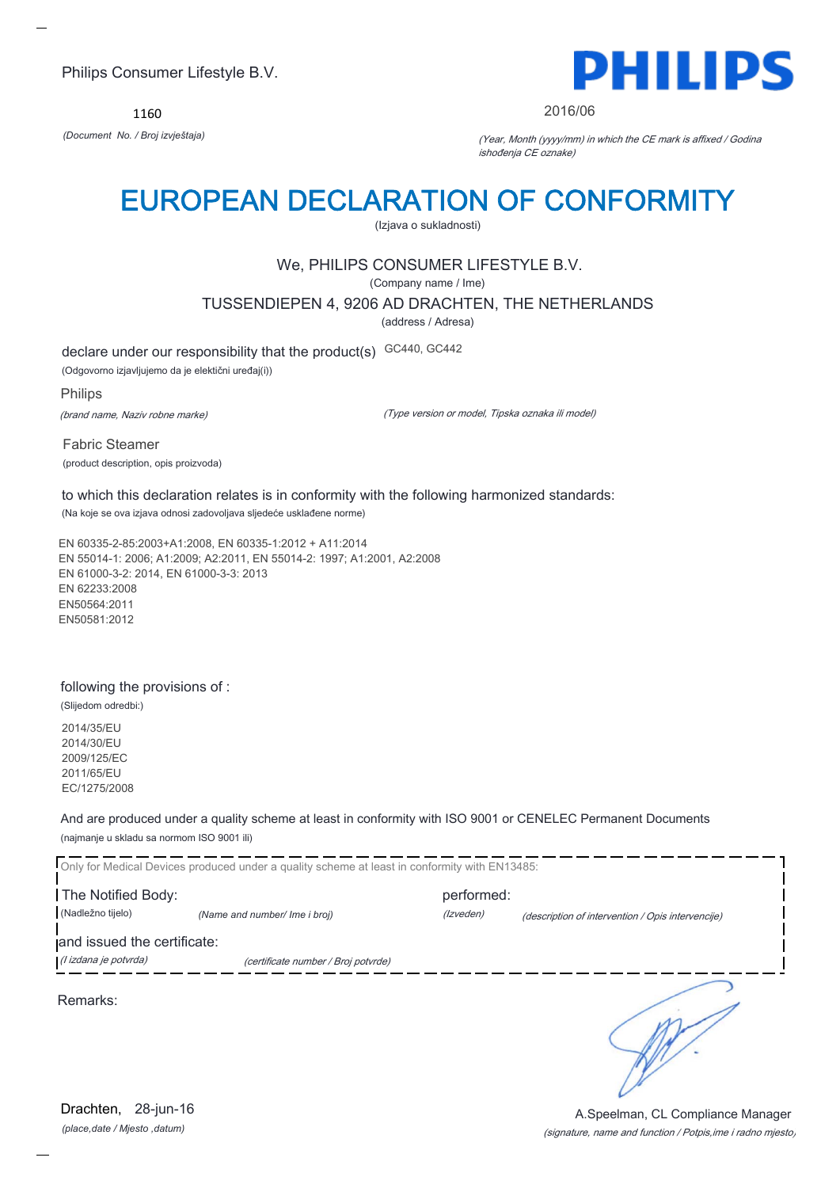1160



#### 2016/06

*(Document No. / Broj izvještaja)* (Year, Month (yyyy/mm) in which the CE mark is affixed / Godina ishođenja CE oznake)

## EUROPEAN DECLARATION OF CONFORMITY

(Izjava o sukladnosti)

## We, PHILIPS CONSUMER LIFESTYLE B.V.

(Company name / Ime)

TUSSENDIEPEN 4, 9206 AD DRACHTEN, THE NETHERLANDS

(address / Adresa)

declare under our responsibility that the product(s) GC440, GC442

(Odgovorno izjavljujemo da je elektični uređaj(i))

Philips

(brand name, Naziv robne marke)

(Type version or model, Tipska oznaka ili model)

Fabric Steamer (product description, opis proizvoda)

to which this declaration relates is in conformity with the following harmonized standards: (Na koje se ova izjava odnosi zadovoljava sljedeće usklađene norme)

EN 60335-2-85:2003+A1:2008, EN 60335-1:2012 + A11:2014 EN 55014-1: 2006; A1:2009; A2:2011, EN 55014-2: 1997; A1:2001, A2:2008 EN 61000-3-2: 2014, EN 61000-3-3: 2013 EN 62233:2008 EN50564:2011 EN50581:2012

### following the provisions of :

(Slijedom odredbi:)

2014/35/EU 2014/30/EU 2009/125/EC 2011/65/EU EC/1275/2008

And are produced under a quality scheme at least in conformity with ISO 9001 or CENELEC Permanent Documents (najmanje u skladu sa normom ISO 9001 ili)

Only for Medical Devices produced under a quality scheme at least in conformity with EN13485: The Notified Body: performed: (Nadležno tijelo) *(Name and number/ Ime i broj)* (Izveden) (description of intervention / Opis intervencije) and issued the certificate: (I izdana je potvrda) (certificate number / Broj potvrde) ∍ Remarks:

*(place,date / Mjesto ,datum)* Drachten, 28-jun-16

(signature, name and function / Potpis,ime i radno mjesto) A.Speelman, CL Compliance Manager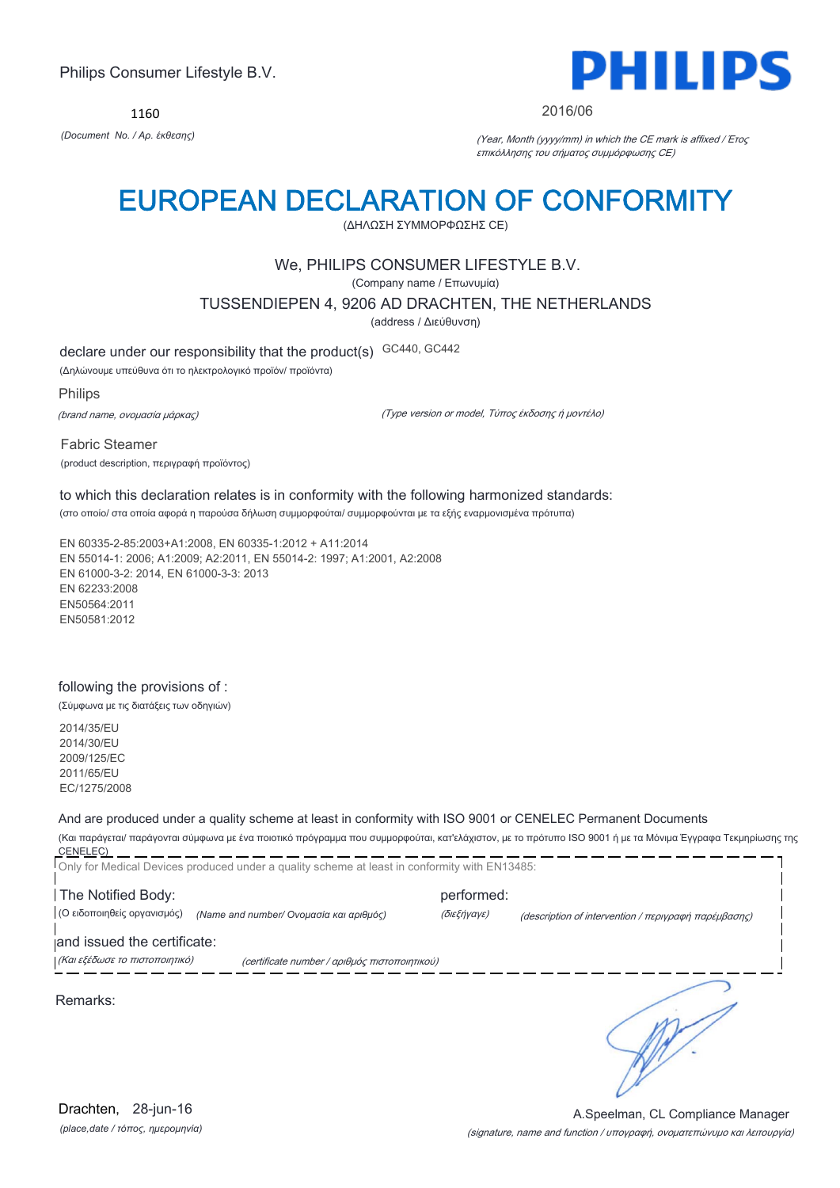1160



#### 2016/06

*(Document No. / Αρ. έκθεσης)* (Year, Month (yyyy/mm) in which the CE mark is affixed / Έτος επικόλλησης του σήματος συμμόρφωσης CE)

## EUROPEAN DECLARATION OF CONFORMITY

(ΔΗΛΩΣΗ ΣΥΜΜΟΡΦΩΣΗΣ CE)

### We, PHILIPS CONSUMER LIFESTYLE B.V.

(Company name / Επωνυμία)

TUSSENDIEPEN 4, 9206 AD DRACHTEN, THE NETHERLANDS

(address / Διεύθυνση)

declare under our responsibility that the product(s) GC440, GC442

(Δηλώνουμε υπεύθυνα ότι το ηλεκτρολογικό προϊόν/ προϊόντα)

Philips

(brand name, ονομασία μάρκας)

(Type version or model, Τύπος έκδοσης ή μοντέλο)

Fabric Steamer (product description, περιγραφή προϊόντος)

to which this declaration relates is in conformity with the following harmonized standards: (στο οποίο/ στα οποία αφορά η παρούσα δήλωση συμμορφούται/ συμμορφούνται με τα εξής εναρμονισμένα πρότυπα)

EN 60335-2-85:2003+A1:2008, EN 60335-1:2012 + A11:2014 EN 55014-1: 2006; A1:2009; A2:2011, EN 55014-2: 1997; A1:2001, A2:2008 EN 61000-3-2: 2014, EN 61000-3-3: 2013 EN 62233:2008 EN50564:2011 EN50581:2012

### following the provisions of :

(Σύμφωνα με τις διατάξεις των οδηγιών)

2014/35/EU 2014/30/EU 2009/125/EC 2011/65/EU EC/1275/2008

#### And are produced under a quality scheme at least in conformity with ISO 9001 or CENELEC Permanent Documents

(Και παράγεται/ παράγονται σύμφωνα με ένα ποιοτικό πρόγραμμα που συμμορφούται, κατ'ελάχιστον, με το πρότυπο ISO 9001 ή με τα Μόνιμα Έγγραφα Τεκμηρίωσης της CENELEC) Only for Medical Devices produced under a quality scheme at least in conformity with EN13485:

The Notified Body: example and performed: (Ο ειδοποιηθείς οργανισμός) *(Name and number/ Ονομασία και αριθμός)* (διεξήγαγε) (description of intervention / περιγραφή παρέμβασης)

and issued the certificate:

(Και εξέδωσε το πιστοποιητικό) (certificate number / αριθμός πιστοποιητικού)

Remarks: